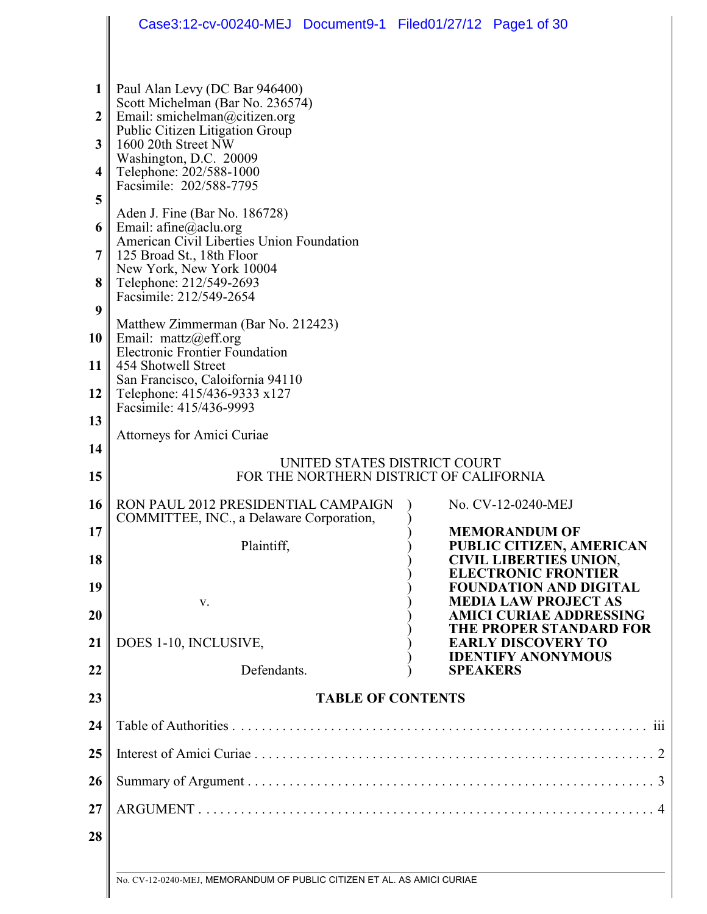|                  | Case3:12-cv-00240-MEJ Document9-1 Filed01/27/12 Page1 of 30             |                              |                                                             |  |
|------------------|-------------------------------------------------------------------------|------------------------------|-------------------------------------------------------------|--|
|                  |                                                                         |                              |                                                             |  |
|                  |                                                                         |                              |                                                             |  |
| 1                | Paul Alan Levy (DC Bar 946400)<br>Scott Michelman (Bar No. 236574)      |                              |                                                             |  |
| $\boldsymbol{2}$ | Email: smichelman@citizen.org<br>Public Citizen Litigation Group        |                              |                                                             |  |
| 3                | 1600 20th Street NW<br>Washington, D.C. 20009                           |                              |                                                             |  |
| 4                | Telephone: 202/588-1000                                                 |                              |                                                             |  |
| 5                | Facsimile: 202/588-7795                                                 |                              |                                                             |  |
| 6                | Aden J. Fine (Bar No. 186728)<br>Email: $a$ fine@aclu.org               |                              |                                                             |  |
| 7                | American Civil Liberties Union Foundation<br>125 Broad St., 18th Floor  |                              |                                                             |  |
| 8                | New York, New York 10004<br>Telephone: 212/549-2693                     |                              |                                                             |  |
| 9                | Facsimile: 212/549-2654                                                 |                              |                                                             |  |
|                  | Matthew Zimmerman (Bar No. 212423)                                      |                              |                                                             |  |
| 10               | Email: mattz@eff.org<br><b>Electronic Frontier Foundation</b>           |                              |                                                             |  |
| 11               | 454 Shotwell Street<br>San Francisco, Caloifornia 94110                 |                              |                                                             |  |
| 12               | Telephone: 415/436-9333 x127<br>Facsimile: 415/436-9993                 |                              |                                                             |  |
| 13               |                                                                         |                              |                                                             |  |
| 14               | Attorneys for Amici Curiae                                              |                              |                                                             |  |
| 15               | FOR THE NORTHERN DISTRICT OF CALIFORNIA                                 | UNITED STATES DISTRICT COURT |                                                             |  |
| 16               | RON PAUL 2012 PRESIDENTIAL CAMPAIGN                                     |                              | No. CV-12-0240-MEJ                                          |  |
| 17               | COMMITTEE, INC., a Delaware Corporation,                                |                              | <b>MEMORANDUM OF</b>                                        |  |
| 18               | Plaintiff,                                                              |                              | PUBLIC CITIZEN, AMERICAN<br><b>CIVIL LIBERTIES UNION,</b>   |  |
| 19               |                                                                         |                              | <b>ELECTRONIC FRONTIER</b><br><b>FOUNDATION AND DIGITAL</b> |  |
|                  | V.                                                                      |                              | <b>MEDIA LAW PROJECT AS</b>                                 |  |
| 20               |                                                                         |                              | <b>AMICI CURIAE ADDRESSING</b><br>THE PROPER STANDARD FOR   |  |
| 21               | DOES 1-10, INCLUSIVE,                                                   |                              | <b>EARLY DISCOVERY TO</b><br><b>IDENTIFY ANONYMOUS</b>      |  |
| 22               | Defendants.                                                             |                              | <b>SPEAKERS</b>                                             |  |
| 23               |                                                                         | <b>TABLE OF CONTENTS</b>     |                                                             |  |
| 24               |                                                                         |                              |                                                             |  |
| 25               |                                                                         |                              |                                                             |  |
| 26               |                                                                         |                              |                                                             |  |
| 27               |                                                                         |                              |                                                             |  |
| 28               |                                                                         |                              |                                                             |  |
|                  |                                                                         |                              |                                                             |  |
|                  | No. CV-12-0240-MEJ, MEMORANDUM OF PUBLIC CITIZEN ET AL. AS AMICI CURIAE |                              |                                                             |  |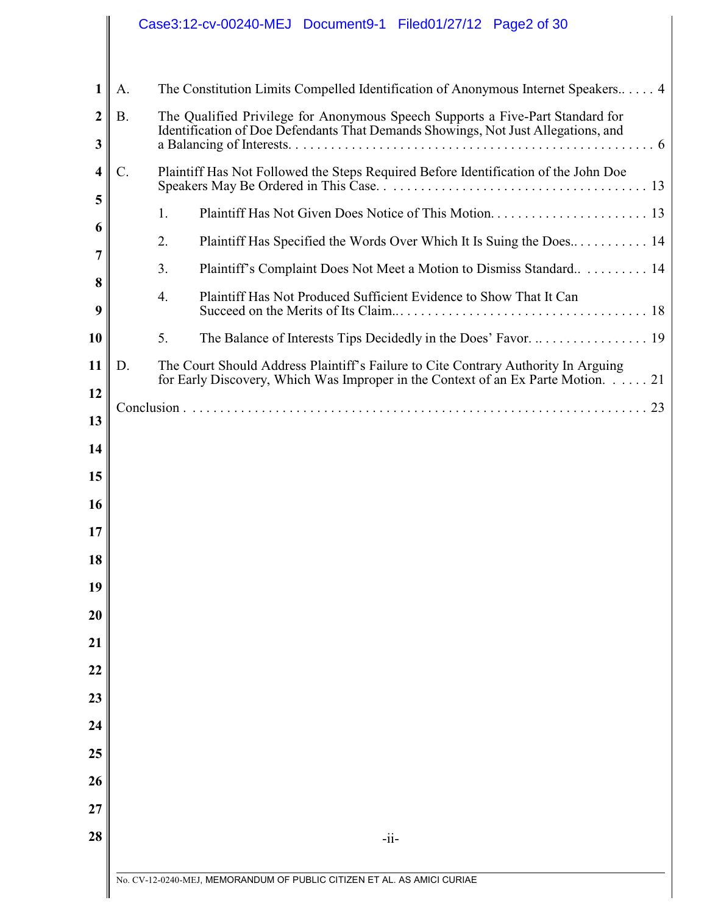# Case3:12-cv-00240-MEJ Document9-1 Filed01/27/12 Page2 of 30

| 1                     | A.              | The Constitution Limits Compelled Identification of Anonymous Internet Speakers 4                                                                                      |
|-----------------------|-----------------|------------------------------------------------------------------------------------------------------------------------------------------------------------------------|
| $\boldsymbol{2}$<br>3 | Β.              | The Qualified Privilege for Anonymous Speech Supports a Five-Part Standard for<br>Identification of Doe Defendants That Demands Showings, Not Just Allegations, and    |
| $\boldsymbol{4}$      | $\mathcal{C}$ . | Plaintiff Has Not Followed the Steps Required Before Identification of the John Doe                                                                                    |
| 5                     |                 | 1.                                                                                                                                                                     |
| 6                     |                 | 2.                                                                                                                                                                     |
| 7                     |                 | Plaintiff's Complaint Does Not Meet a Motion to Dismiss Standard 14<br>3.                                                                                              |
| 8<br>9                |                 | 4.<br>Plaintiff Has Not Produced Sufficient Evidence to Show That It Can                                                                                               |
| 10                    |                 | 5.                                                                                                                                                                     |
| 11                    | D.              | The Court Should Address Plaintiff's Failure to Cite Contrary Authority In Arguing<br>for Early Discovery, Which Was Improper in the Context of an Ex Parte Motion. 21 |
| 12                    |                 |                                                                                                                                                                        |
| 13                    |                 |                                                                                                                                                                        |
| 14                    |                 |                                                                                                                                                                        |
| 15                    |                 |                                                                                                                                                                        |
| 16                    |                 |                                                                                                                                                                        |
| 17                    |                 |                                                                                                                                                                        |
| 18                    |                 |                                                                                                                                                                        |
| 19                    |                 |                                                                                                                                                                        |
| $\boldsymbol{20}$     |                 |                                                                                                                                                                        |
| 21                    |                 |                                                                                                                                                                        |
| 22                    |                 |                                                                                                                                                                        |
| 23                    |                 |                                                                                                                                                                        |
| 24                    |                 |                                                                                                                                                                        |
| 25<br>26              |                 |                                                                                                                                                                        |
| 27                    |                 |                                                                                                                                                                        |
| 28                    |                 | $-i$ i-                                                                                                                                                                |
|                       |                 |                                                                                                                                                                        |
|                       |                 | No. CV-12-0240-MEJ, MEMORANDUM OF PUBLIC CITIZEN ET AL. AS AMICI CURIAE                                                                                                |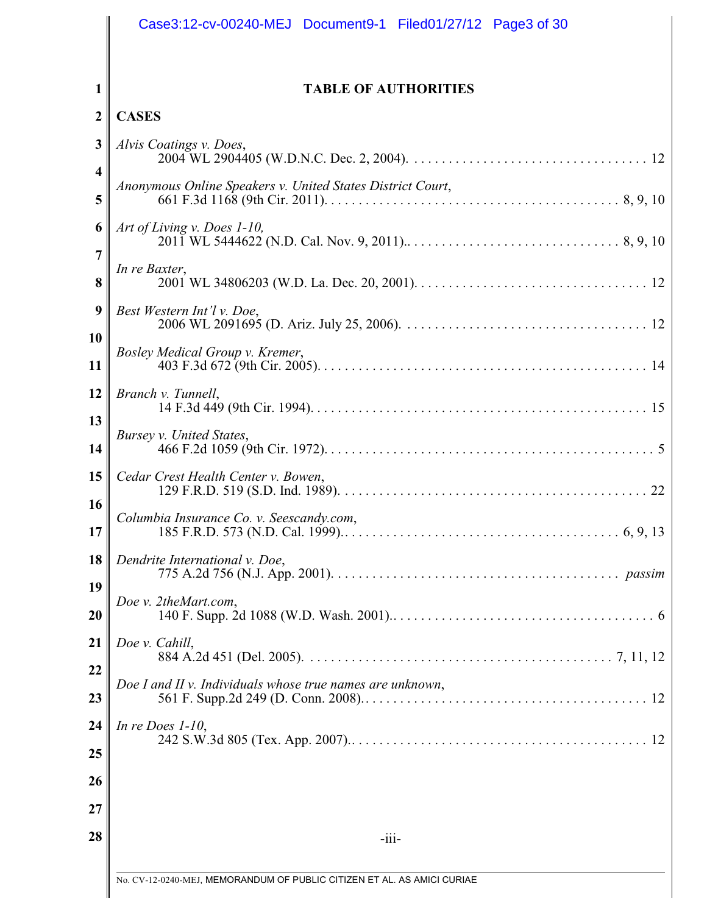|                         | Case3:12-cv-00240-MEJ Document9-1 Filed01/27/12 Page3 of 30             |
|-------------------------|-------------------------------------------------------------------------|
| 1                       | <b>TABLE OF AUTHORITIES</b>                                             |
| $\boldsymbol{2}$        | <b>CASES</b>                                                            |
| 3                       | Alvis Coatings v. Does,                                                 |
| 4<br>5                  | Anonymous Online Speakers v. United States District Court,              |
| 6                       | Art of Living v. Does 1-10,                                             |
| 7<br>8                  | In re Baxter,                                                           |
| $\boldsymbol{9}$<br>10  | Best Western Int'l v. Doe,                                              |
| 11                      | Bosley Medical Group v. Kremer,                                         |
| 12                      | Branch v. Tunnell,                                                      |
| 13<br>14                | Bursey v. United States,                                                |
| 15                      | Cedar Crest Health Center v. Bowen,                                     |
| 16<br>17                | Columbia Insurance Co. v. Seescandy.com,                                |
| 18                      | Dendrite International v. Doe,                                          |
| 19<br>$\boldsymbol{20}$ | Doe v. 2theMart.com,                                                    |
| 21                      | Doe v. Cahill,                                                          |
| 22<br>23                | Doe I and II v. Individuals whose true names are unknown,               |
| 24<br>25<br>26          | In re Does $1-10$ ,                                                     |
| $\overline{27}$<br>28   | $-iii-$                                                                 |
|                         | No. CV-12-0240-MEJ, MEMORANDUM OF PUBLIC CITIZEN ET AL. AS AMICI CURIAE |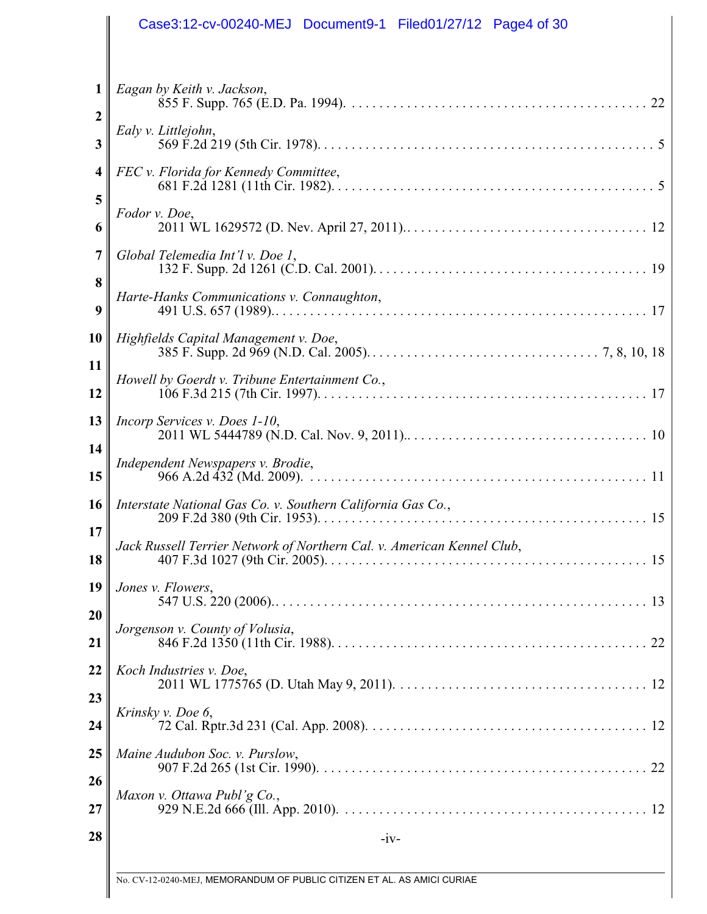|                                | Case3:12-cv-00240-MEJ Document9-1 Filed01/27/12 Page4 of 30            |
|--------------------------------|------------------------------------------------------------------------|
|                                |                                                                        |
| $\mathbf{1}$<br>$\overline{2}$ | Eagan by Keith v. Jackson,                                             |
| 3                              | Ealy v. Littlejohn,                                                    |
| $\overline{\mathbf{4}}$        | FEC v. Florida for Kennedy Committee,                                  |
| 5<br>6                         | Fodor v. Doe,                                                          |
| 7                              | Global Telemedia Int'l v. Doe 1,                                       |
| 8<br>9                         | Harte-Hanks Communications v. Connaughton,                             |
| 10                             | Highfields Capital Management v. Doe,                                  |
| 11<br>12                       | Howell by Goerdt v. Tribune Entertainment Co.,                         |
| 13                             | Incorp Services v. Does 1-10,                                          |
| 14<br>15                       | Independent Newspapers v. Brodie,                                      |
| 16                             | Interstate National Gas Co. v. Southern California Gas Co.,            |
| 17<br>18                       | Jack Russell Terrier Network of Northern Cal. v. American Kennel Club, |
| 19                             | Jones v. Flowers,                                                      |
| 20                             |                                                                        |
| 21                             | Jorgenson v. County of Volusia,                                        |
| 22                             | Koch Industries v. Doe,                                                |
| 23<br>24                       | Krinsky v. Doe 6,                                                      |
| 25                             | Maine Audubon Soc. v. Purslow,                                         |
| 26<br>27                       | Maxon v. Ottawa Publ'g Co.,                                            |
| 28                             | $-iv-$                                                                 |
|                                |                                                                        |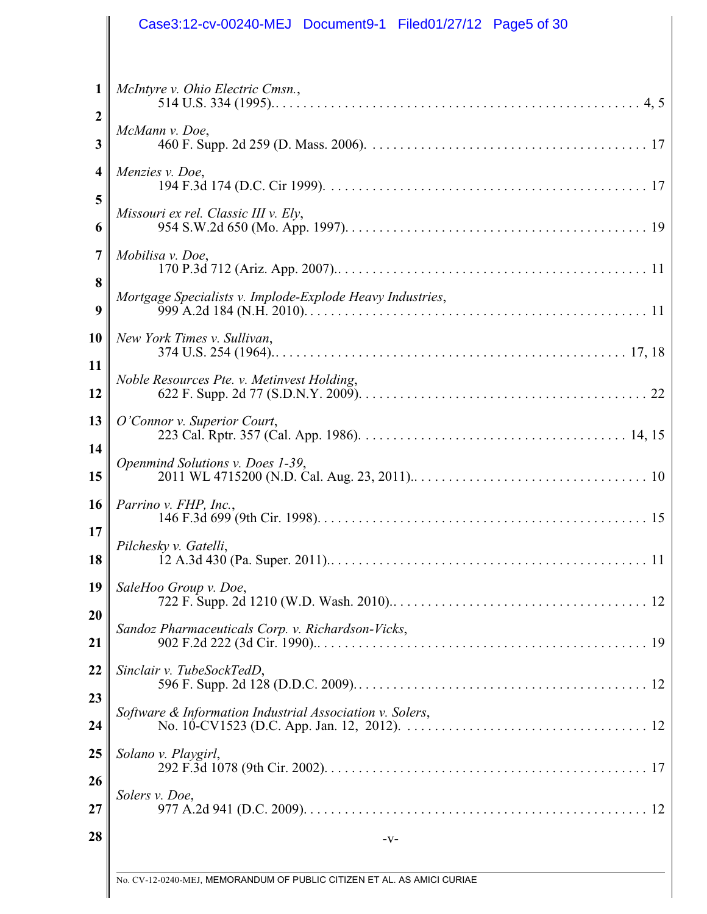|                  | Case3:12-cv-00240-MEJ Document9-1 Filed01/27/12 Page5 of 30             |
|------------------|-------------------------------------------------------------------------|
|                  |                                                                         |
| 1                | McIntyre v. Ohio Electric Cmsn.,                                        |
| $\mathbf 2$<br>3 | McMann v. Doe,                                                          |
| 4<br>5           | Menzies v. Doe,                                                         |
| 6                | Missouri ex rel. Classic III v. Ely,                                    |
| 7<br>8           | Mobilisa v. Doe,                                                        |
| 9                | Mortgage Specialists v. Implode-Explode Heavy Industries,               |
| 10<br>11         | New York Times v. Sullivan,                                             |
| 12               | Noble Resources Pte. v. Metinvest Holding,                              |
| 13<br>14         | O'Connor v. Superior Court,                                             |
| 15               | Openmind Solutions v. Does 1-39,                                        |
| <b>16</b><br>17  | Parrino v. FHP, Inc.,                                                   |
| 18               | Pilchesky v. Gatelli,                                                   |
| 19<br>20         | SaleHoo Group v. Doe,                                                   |
| 21               | Sandoz Pharmaceuticals Corp. v. Richardson-Vicks,                       |
| 22<br>23         | Sinclair v. TubeSockTedD,                                               |
| 24               | Software & Information Industrial Association v. Solers,                |
| 25<br>26         | Solano v. Playgirl,                                                     |
| 27               | Solers v. Doe,                                                          |
| 28               | $-V-$                                                                   |
|                  | No. CV-12-0240-MEJ, MEMORANDUM OF PUBLIC CITIZEN ET AL. AS AMICI CURIAE |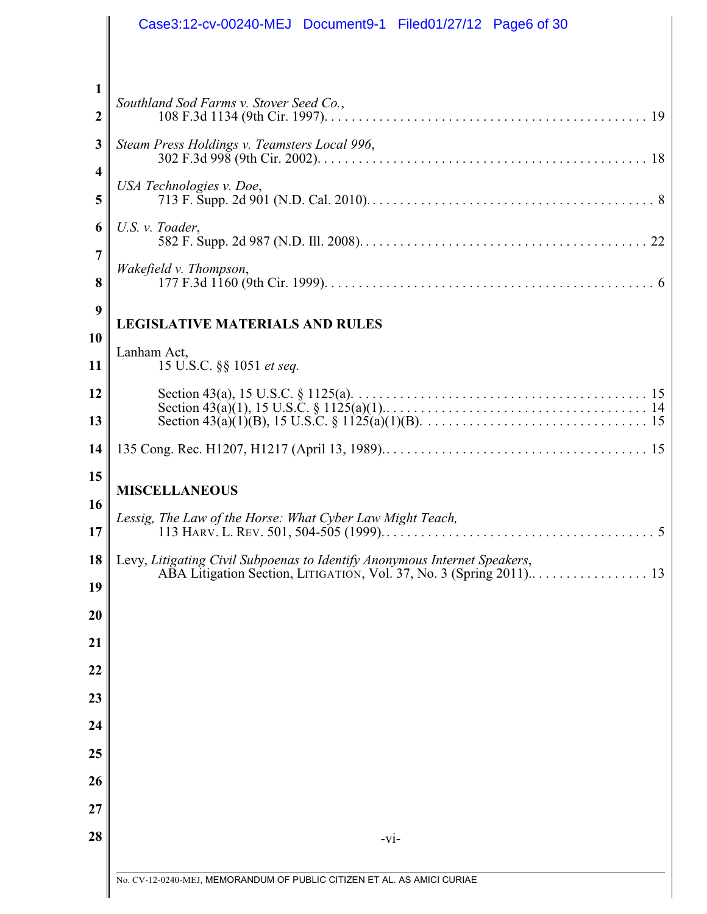|                       | Case3:12-cv-00240-MEJ Document9-1 Filed01/27/12 Page6 of 30               |
|-----------------------|---------------------------------------------------------------------------|
|                       |                                                                           |
| 1<br>$\boldsymbol{2}$ | Southland Sod Farms v. Stover Seed Co.,                                   |
| 3                     | Steam Press Holdings v. Teamsters Local 996,                              |
| 4<br>5                | USA Technologies v. Doe,                                                  |
| 6<br>7                | U.S. v. Toader,                                                           |
| 8                     | Wakefield v. Thompson,                                                    |
| 9<br>10               | <b>LEGISLATIVE MATERIALS AND RULES</b>                                    |
| 11                    | Lanham Act,<br>15 U.S.C. §§ 1051 et seq.                                  |
| 12<br>13              |                                                                           |
| 14                    |                                                                           |
| 15                    | <b>MISCELLANEOUS</b>                                                      |
| 16                    | Lessig, The Law of the Horse: What Cyber Law Might Teach,                 |
| 17                    |                                                                           |
| 18                    | Levy, Litigating Civil Subpoenas to Identify Anonymous Internet Speakers, |
| 19                    |                                                                           |
| 20                    |                                                                           |
| 21                    |                                                                           |
| 22<br>23              |                                                                           |
| 24                    |                                                                           |
| 25                    |                                                                           |
| 26                    |                                                                           |
| 27                    |                                                                           |
| 28                    | $-vi-$                                                                    |
|                       |                                                                           |
|                       | No. CV-12-0240-MEJ, MEMORANDUM OF PUBLIC CITIZEN ET AL. AS AMICI CURIAE   |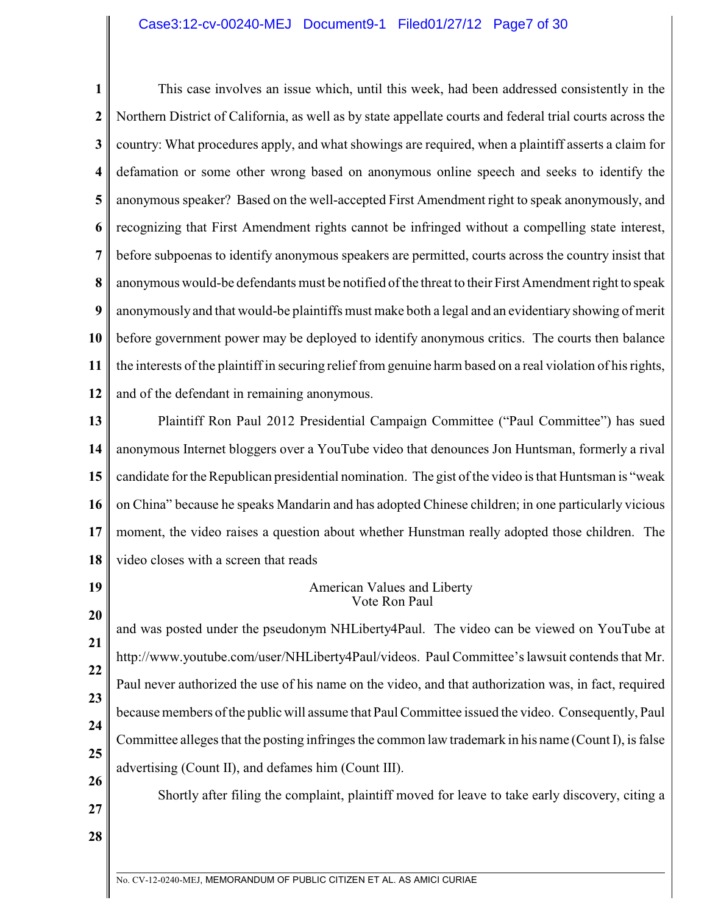### Case3:12-cv-00240-MEJ Document9-1 Filed01/27/12 Page7 of 30

**1 2 3 4 5 6 7 8 9 10 11 12** This case involves an issue which, until this week, had been addressed consistently in the Northern District of California, as well as by state appellate courts and federal trial courts across the country: What procedures apply, and what showings are required, when a plaintiff asserts a claim for defamation or some other wrong based on anonymous online speech and seeks to identify the anonymous speaker? Based on the well-accepted First Amendment right to speak anonymously, and recognizing that First Amendment rights cannot be infringed without a compelling state interest, before subpoenas to identify anonymous speakers are permitted, courts across the country insist that anonymous would-be defendants must be notified of the threat to their First Amendment right to speak anonymously and that would-be plaintiffs must make both a legal and an evidentiary showing of merit before government power may be deployed to identify anonymous critics. The courts then balance the interests of the plaintiff in securing relief from genuine harm based on a real violation of his rights, and of the defendant in remaining anonymous.

**13 14 15 16 17 18** Plaintiff Ron Paul 2012 Presidential Campaign Committee ("Paul Committee") has sued anonymous Internet bloggers over a YouTube video that denounces Jon Huntsman, formerly a rival candidate for the Republican presidential nomination. The gist of the video is that Huntsman is "weak on China" because he speaks Mandarin and has adopted Chinese children; in one particularly vicious moment, the video raises a question about whether Hunstman really adopted those children. The video closes with a screen that reads

**19 20**

#### American Values and Liberty Vote Ron Paul

**21 22 23 24 25 26** and was posted under the pseudonym NHLiberty4Paul. The video can be viewed on YouTube at http://www.youtube.com/user/NHLiberty4Paul/videos. Paul Committee's lawsuit contends that Mr. Paul never authorized the use of his name on the video, and that authorization was, in fact, required because members of the public will assume that Paul Committee issued the video. Consequently, Paul Committee alleges that the posting infringes the common law trademark in his name (Count I), is false advertising (Count II), and defames him (Count III).

Shortly after filing the complaint, plaintiff moved for leave to take early discovery, citing a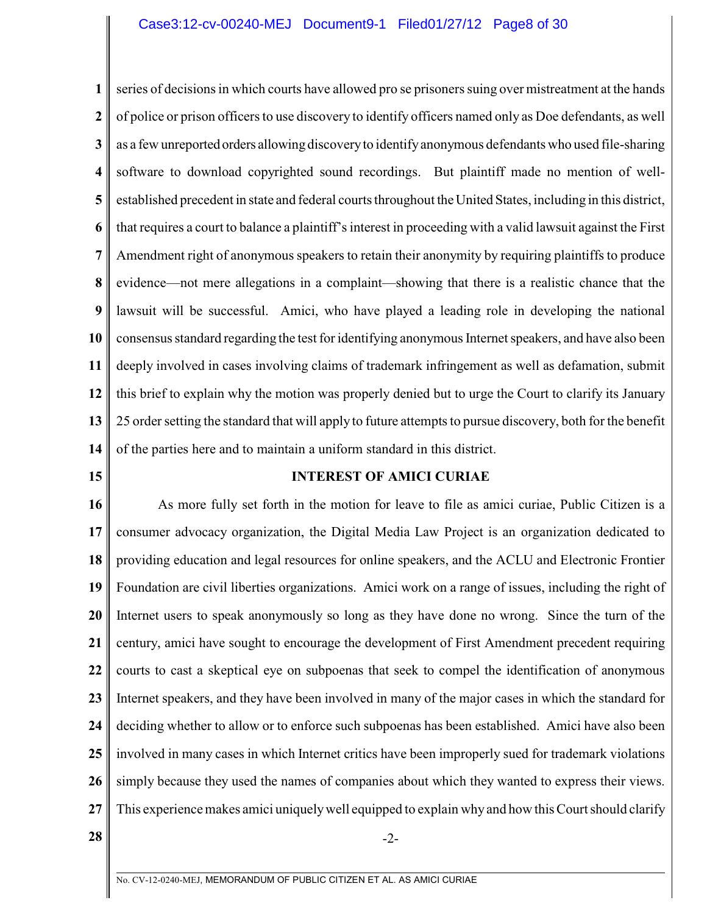### Case3:12-cv-00240-MEJ Document9-1 Filed01/27/12 Page8 of 30

**1 2 3 4 5 6 7 8 9 10 11 12 13 14** series of decisions in which courts have allowed pro se prisoners suing over mistreatment at the hands of police or prison officers to use discovery to identify officers named only as Doe defendants, as well as a few unreported orders allowing discovery to identify anonymous defendants who used file-sharing software to download copyrighted sound recordings. But plaintiff made no mention of wellestablished precedent in state and federal courts throughout the United States, including in this district, that requires a court to balance a plaintiff's interest in proceeding with a valid lawsuit against the First Amendment right of anonymous speakers to retain their anonymity by requiring plaintiffs to produce evidence—not mere allegations in a complaint—showing that there is a realistic chance that the lawsuit will be successful. Amici, who have played a leading role in developing the national consensus standard regarding the test for identifying anonymous Internet speakers, and have also been deeply involved in cases involving claims of trademark infringement as well as defamation, submit this brief to explain why the motion was properly denied but to urge the Court to clarify its January 25 order setting the standard that will apply to future attempts to pursue discovery, both for the benefit of the parties here and to maintain a uniform standard in this district.

**15**

# **INTEREST OF AMICI CURIAE**

**16 17 18 19 20 21 22 23 24 25 26 27** As more fully set forth in the motion for leave to file as amici curiae, Public Citizen is a consumer advocacy organization, the Digital Media Law Project is an organization dedicated to providing education and legal resources for online speakers, and the ACLU and Electronic Frontier Foundation are civil liberties organizations. Amici work on a range of issues, including the right of Internet users to speak anonymously so long as they have done no wrong. Since the turn of the century, amici have sought to encourage the development of First Amendment precedent requiring courts to cast a skeptical eye on subpoenas that seek to compel the identification of anonymous Internet speakers, and they have been involved in many of the major cases in which the standard for deciding whether to allow or to enforce such subpoenas has been established. Amici have also been involved in many cases in which Internet critics have been improperly sued for trademark violations simply because they used the names of companies about which they wanted to express their views. This experience makes amici uniquelywell equipped to explain why and how this Court should clarify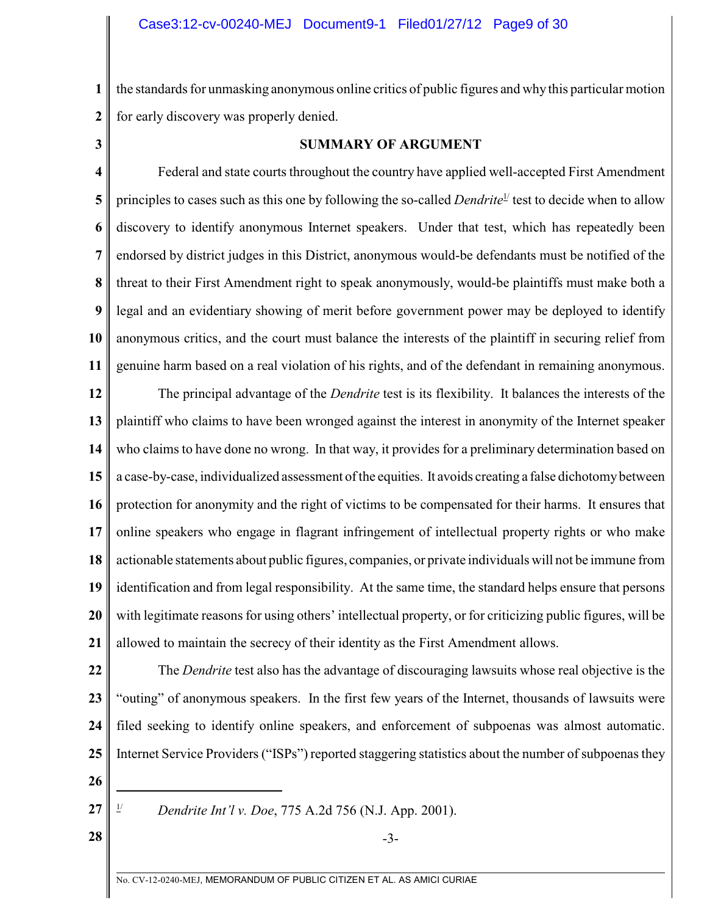**1 2** the standards for unmasking anonymous online critics of public figures and why this particular motion for early discovery was properly denied.

**3**

### **SUMMARY OF ARGUMENT**

**4 5 6 7 8 9 10 11** Federal and state courts throughout the country have applied well-accepted First Amendment principles to cases such as this one by following the so-called *Dendrite*<sup>1</sup> test to decide when to allow discovery to identify anonymous Internet speakers. Under that test, which has repeatedly been endorsed by district judges in this District, anonymous would-be defendants must be notified of the threat to their First Amendment right to speak anonymously, would-be plaintiffs must make both a legal and an evidentiary showing of merit before government power may be deployed to identify anonymous critics, and the court must balance the interests of the plaintiff in securing relief from genuine harm based on a real violation of his rights, and of the defendant in remaining anonymous.

**12 13 14 15 16 17 18 19 20 21** The principal advantage of the *Dendrite* test is its flexibility. It balances the interests of the plaintiff who claims to have been wronged against the interest in anonymity of the Internet speaker who claims to have done no wrong. In that way, it provides for a preliminary determination based on a case-by-case, individualized assessment of the equities. It avoids creating a false dichotomy between protection for anonymity and the right of victims to be compensated for their harms. It ensures that online speakers who engage in flagrant infringement of intellectual property rights or who make actionable statements about public figures, companies, or private individuals will not be immune from identification and from legal responsibility. At the same time, the standard helps ensure that persons with legitimate reasons for using others' intellectual property, or for criticizing public figures, will be allowed to maintain the secrecy of their identity as the First Amendment allows.

**22 23 24 25** The *Dendrite* test also has the advantage of discouraging lawsuits whose real objective is the "outing" of anonymous speakers. In the first few years of the Internet, thousands of lawsuits were filed seeking to identify online speakers, and enforcement of subpoenas was almost automatic. Internet Service Providers ("ISPs") reported staggering statistics about the number of subpoenas they

**26**

*P Dendrite Int'l v. Doe, 775 A.2d 756 (N.J. App. 2001).* 

**28**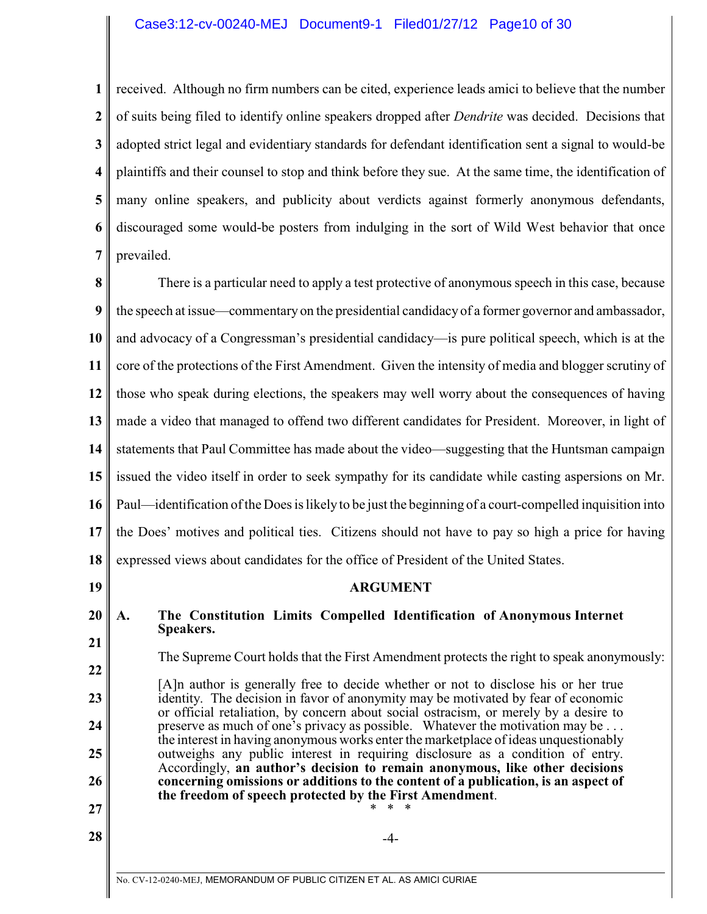### Case3:12-cv-00240-MEJ Document9-1 Filed01/27/12 Page10 of 30

**1 2 3 4 5 6 7** received. Although no firm numbers can be cited, experience leads amici to believe that the number of suits being filed to identify online speakers dropped after *Dendrite* was decided. Decisions that adopted strict legal and evidentiary standards for defendant identification sent a signal to would-be plaintiffs and their counsel to stop and think before they sue. At the same time, the identification of many online speakers, and publicity about verdicts against formerly anonymous defendants, discouraged some would-be posters from indulging in the sort of Wild West behavior that once prevailed.

No. CV-12-0240-MEJ, MEMORANDUM OF PUBLIC CITIZEN ET AL. AS AMICI CURIAE **8 9 10 11 12 13 14 15 16 17 18 19 20 21 22 23 24 25 26 27 28**  $\parallel$ There is a particular need to apply a test protective of anonymous speech in this case, because the speech at issue—commentary on the presidential candidacy of a former governor and ambassador, and advocacy of a Congressman's presidential candidacy—is pure political speech, which is at the core of the protections of the First Amendment. Given the intensity of media and blogger scrutiny of those who speak during elections, the speakers may well worry about the consequences of having made a video that managed to offend two different candidates for President. Moreover, in light of statements that Paul Committee has made about the video—suggesting that the Huntsman campaign issued the video itself in order to seek sympathy for its candidate while casting aspersions on Mr. Paul—identification ofthe Does is likely to be just the beginning of a court-compelled inquisition into the Does' motives and political ties. Citizens should not have to pay so high a price for having expressed views about candidates for the office of President of the United States. **ARGUMENT A. The Constitution Limits Compelled Identification of Anonymous Internet Speakers.** The Supreme Court holds that the First Amendment protects the right to speak anonymously: [A]n author is generally free to decide whether or not to disclose his or her true identity. The decision in favor of anonymity may be motivated by fear of economic or official retaliation, by concern about social ostracism, or merely by a desire to preserve as much of one's privacy as possible. Whatever the motivation may be . . . the interest in having anonymous works enter the marketplace of ideas unquestionably outweighs any public interest in requiring disclosure as a condition of entry. Accordingly, **an author's decision to remain anonymous, like other decisions concerning omissions or additions to the content of a publication, is an aspect of the freedom of speech protected by the First Amendment**. \* \* \*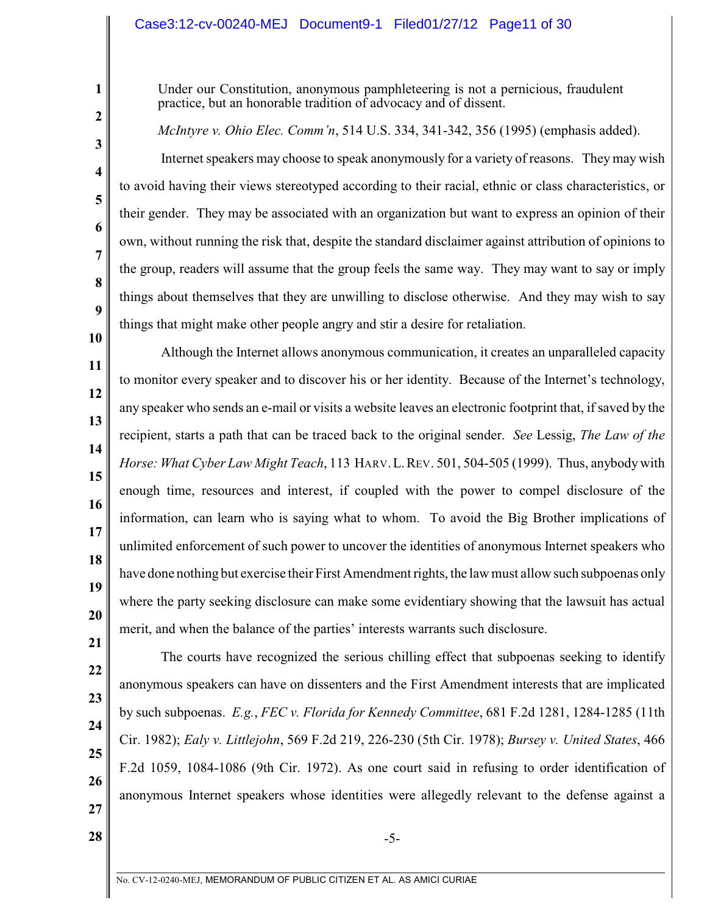# Case3:12-cv-00240-MEJ Document9-1 Filed01/27/12 Page11 of 30

Under our Constitution, anonymous pamphleteering is not a pernicious, fraudulent practice, but an honorable tradition of advocacy and of dissent.

*McIntyre v. Ohio Elec. Comm'n*, 514 U.S. 334, 341-342, 356 (1995) (emphasis added).

Internet speakers may choose to speak anonymously for a variety of reasons. They may wish to avoid having their views stereotyped according to their racial, ethnic or class characteristics, or their gender. They may be associated with an organization but want to express an opinion of their own, without running the risk that, despite the standard disclaimer against attribution of opinions to the group, readers will assume that the group feels the same way. They may want to say or imply things about themselves that they are unwilling to disclose otherwise. And they may wish to say things that might make other people angry and stir a desire for retaliation.

**11 12 13 14 15 16 17 18 19 20** Although the Internet allows anonymous communication, it creates an unparalleled capacity to monitor every speaker and to discover his or her identity. Because of the Internet's technology, any speaker who sends an e-mail or visits a website leaves an electronic footprint that, if saved by the recipient, starts a path that can be traced back to the original sender. *See* Lessig, *The Law of the Horse: What Cyber Law Might Teach*, 113 HARV.L.REV. 501, 504-505 (1999). Thus, anybody with enough time, resources and interest, if coupled with the power to compel disclosure of the information, can learn who is saying what to whom. To avoid the Big Brother implications of unlimited enforcement of such power to uncover the identities of anonymous Internet speakers who have done nothing but exercise their First Amendment rights, the law must allow such subpoenas only where the party seeking disclosure can make some evidentiary showing that the lawsuit has actual merit, and when the balance of the parties' interests warrants such disclosure.

**22 23 24 25 26 27** The courts have recognized the serious chilling effect that subpoenas seeking to identify anonymous speakers can have on dissenters and the First Amendment interests that are implicated by such subpoenas. *E.g.*, *FEC v. Florida for Kennedy Committee*, 681 F.2d 1281, 1284-1285 (11th Cir. 1982); *Ealy v. Littlejohn*, 569 F.2d 219, 226-230 (5th Cir. 1978); *Bursey v. United States*, 466 F.2d 1059, 1084-1086 (9th Cir. 1972). As one court said in refusing to order identification of anonymous Internet speakers whose identities were allegedly relevant to the defense against a

**21**

**1**

**2**

**3**

**4**

**5**

**6**

**7**

**8**

**9**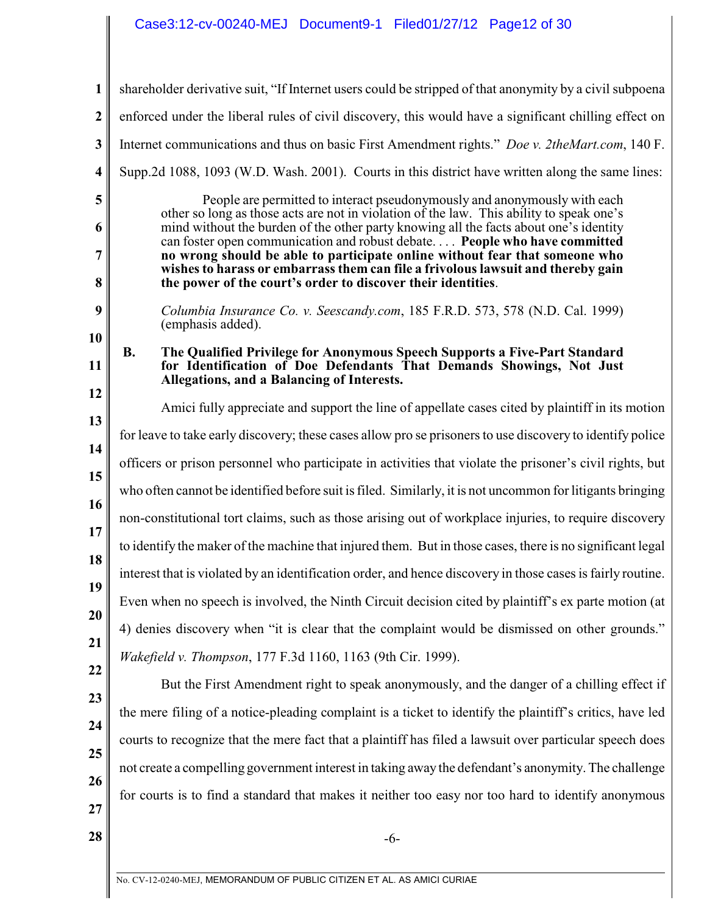**1 2 3 4 5 6 7 8 9 10 11 12 13 14 15 16 17 18 19 20 21 22 23 24 25 26 27 28**  $\parallel$ shareholder derivative suit, "If Internet users could be stripped of that anonymity by a civil subpoena enforced under the liberal rules of civil discovery, this would have a significant chilling effect on Internet communications and thus on basic First Amendment rights." *Doe v. 2theMart.com*, 140 F. Supp.2d 1088, 1093 (W.D. Wash. 2001). Courts in this district have written along the same lines: People are permitted to interact pseudonymously and anonymously with each other so long as those acts are not in violation of the law. This ability to speak one's mind without the burden of the other party knowing all the facts about one's identity can foster open communication and robust debate. . . . **People who have committed no wrong should be able to participate online without fear that someone who wishes to harass or embarrass them can file a frivolous lawsuit and thereby gain the power of the court's order to discover their identities**. *Columbia Insurance Co. v. Seescandy.com*, 185 F.R.D. 573, 578 (N.D. Cal. 1999) (emphasis added). **B. The Qualified Privilege for Anonymous Speech Supports a Five-Part Standard for Identification of Doe Defendants That Demands Showings, Not Just Allegations, and a Balancing of Interests.** Amici fully appreciate and support the line of appellate cases cited by plaintiff in its motion for leave to take early discovery; these cases allow pro se prisoners to use discovery to identify police officers or prison personnel who participate in activities that violate the prisoner's civil rights, but who often cannot be identified before suit is filed. Similarly, it is not uncommon for litigants bringing non-constitutional tort claims, such as those arising out of workplace injuries, to require discovery to identify the maker of the machine that injured them. But in those cases, there is no significant legal interest that is violated by an identification order, and hence discovery in those cases is fairly routine. Even when no speech is involved, the Ninth Circuit decision cited by plaintiff's ex parte motion (at 4) denies discovery when "it is clear that the complaint would be dismissed on other grounds." *Wakefield v. Thompson*, 177 F.3d 1160, 1163 (9th Cir. 1999). But the First Amendment right to speak anonymously, and the danger of a chilling effect if the mere filing of a notice-pleading complaint is a ticket to identify the plaintiff's critics, have led courts to recognize that the mere fact that a plaintiff has filed a lawsuit over particular speech does not create a compelling government interest in taking away the defendant's anonymity. The challenge for courts is to find a standard that makes it neither too easy nor too hard to identify anonymous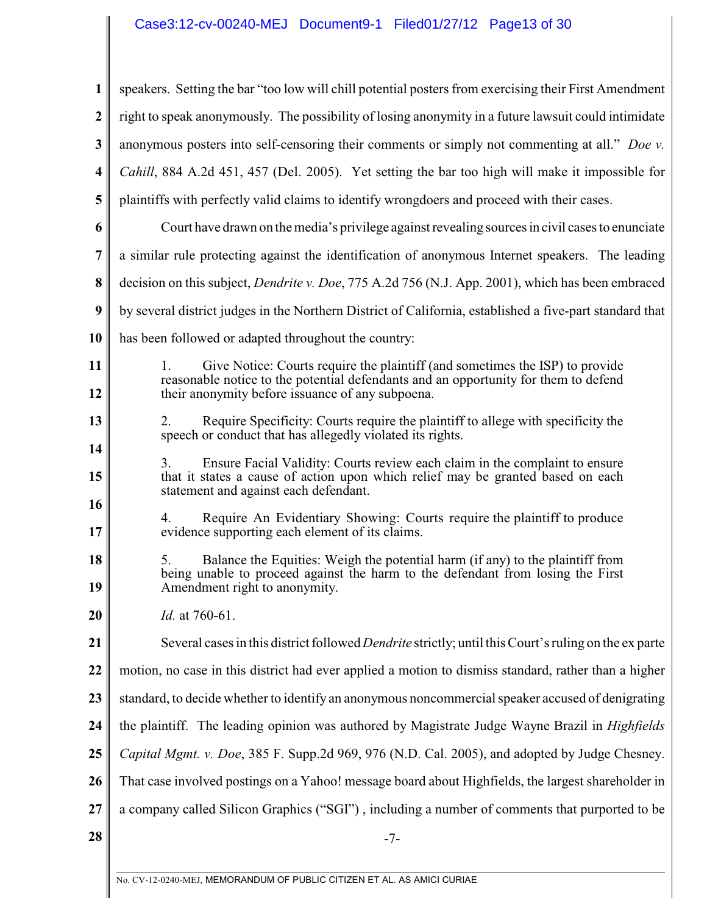# Case3:12-cv-00240-MEJ Document9-1 Filed01/27/12 Page13 of 30

| 1                | speakers. Setting the bar "too low will chill potential posters from exercising their First Amendment                                                                                                         |
|------------------|---------------------------------------------------------------------------------------------------------------------------------------------------------------------------------------------------------------|
| $\boldsymbol{2}$ | right to speak anonymously. The possibility of losing anonymity in a future lawsuit could intimidate                                                                                                          |
| 3                | anonymous posters into self-censoring their comments or simply not commenting at all." Doe v.                                                                                                                 |
| 4                | Cahill, 884 A.2d 451, 457 (Del. 2005). Yet setting the bar too high will make it impossible for                                                                                                               |
| 5                | plaintiffs with perfectly valid claims to identify wrongdoers and proceed with their cases.                                                                                                                   |
| 6                | Court have drawn on the media's privilege against revealing sources in civil cases to enunciate                                                                                                               |
| 7                | a similar rule protecting against the identification of anonymous Internet speakers. The leading                                                                                                              |
| 8                | decision on this subject, <i>Dendrite v. Doe</i> , 775 A.2d 756 (N.J. App. 2001), which has been embraced                                                                                                     |
| $\boldsymbol{9}$ | by several district judges in the Northern District of California, established a five-part standard that                                                                                                      |
| 10               | has been followed or adapted throughout the country:                                                                                                                                                          |
| 11               | Give Notice: Courts require the plaintiff (and sometimes the ISP) to provide<br>1.<br>reasonable notice to the potential defendants and an opportunity for them to defend                                     |
| 12               | their anonymity before issuance of any subpoena.                                                                                                                                                              |
| 13               | Require Specificity: Courts require the plaintiff to allege with specificity the<br>2.<br>speech or conduct that has allegedly violated its rights.                                                           |
| 14<br>15         | Ensure Facial Validity: Courts review each claim in the complaint to ensure<br>3.<br>that it states a cause of action upon which relief may be granted based on each<br>statement and against each defendant. |
| 16<br>17         | Require An Evidentiary Showing: Courts require the plaintiff to produce<br>4.<br>evidence supporting each element of its claims.                                                                              |
| 18<br>19         | Balance the Equities: Weigh the potential harm (if any) to the plaintiff from<br>5.<br>being unable to proceed against the harm to the defendant from losing the First<br>Amendment right to anonymity.       |
| 20               | <i>Id.</i> at 760-61.                                                                                                                                                                                         |
| 21               | Several cases in this district followed <i>Dendrite</i> strictly; until this Court's ruling on the ex parte                                                                                                   |
| 22               | motion, no case in this district had ever applied a motion to dismiss standard, rather than a higher                                                                                                          |
| 23               | standard, to decide whether to identify an anonymous noncommercial speaker accused of denigrating                                                                                                             |
| 24               | the plaintiff. The leading opinion was authored by Magistrate Judge Wayne Brazil in <i>Highfields</i>                                                                                                         |
| 25               | Capital Mgmt. v. Doe, 385 F. Supp.2d 969, 976 (N.D. Cal. 2005), and adopted by Judge Chesney.                                                                                                                 |
| 26               | That case involved postings on a Yahoo! message board about Highfields, the largest shareholder in                                                                                                            |
| 27               | a company called Silicon Graphics ("SGI"), including a number of comments that purported to be                                                                                                                |
| 28               | $-7-$                                                                                                                                                                                                         |
|                  |                                                                                                                                                                                                               |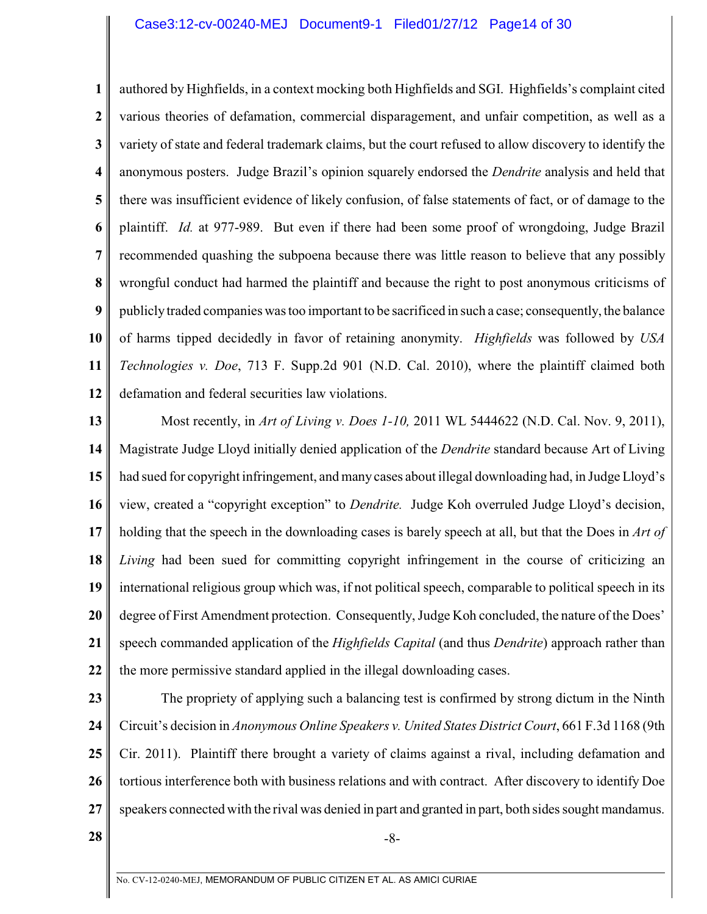### Case3:12-cv-00240-MEJ Document9-1 Filed01/27/12 Page14 of 30

**1 2 3 4 5 6 7 8 9 10 11 12** authored by Highfields, in a context mocking both Highfields and SGI. Highfields's complaint cited various theories of defamation, commercial disparagement, and unfair competition, as well as a variety of state and federal trademark claims, but the court refused to allow discovery to identify the anonymous posters. Judge Brazil's opinion squarely endorsed the *Dendrite* analysis and held that there was insufficient evidence of likely confusion, of false statements of fact, or of damage to the plaintiff. *Id.* at 977-989. But even if there had been some proof of wrongdoing, Judge Brazil recommended quashing the subpoena because there was little reason to believe that any possibly wrongful conduct had harmed the plaintiff and because the right to post anonymous criticisms of publicly traded companies was too important to be sacrificed in such a case; consequently, the balance of harms tipped decidedly in favor of retaining anonymity. *Highfields* was followed by *USA Technologies v. Doe*, 713 F. Supp.2d 901 (N.D. Cal. 2010), where the plaintiff claimed both defamation and federal securities law violations.

**13 14 15 16 17 18 19 20 21 22** Most recently, in *Art of Living v. Does 1-10,* 2011 WL 5444622 (N.D. Cal. Nov. 9, 2011), Magistrate Judge Lloyd initially denied application of the *Dendrite* standard because Art of Living had sued for copyright infringement, and many cases about illegal downloading had, in Judge Lloyd's view, created a "copyright exception" to *Dendrite.* Judge Koh overruled Judge Lloyd's decision, holding that the speech in the downloading cases is barely speech at all, but that the Does in *Art of Living* had been sued for committing copyright infringement in the course of criticizing an international religious group which was, if not political speech, comparable to political speech in its degree of First Amendment protection. Consequently, Judge Koh concluded, the nature of the Does' speech commanded application of the *Highfields Capital* (and thus *Dendrite*) approach rather than the more permissive standard applied in the illegal downloading cases.

**23**

**24 25 26 27** The propriety of applying such a balancing test is confirmed by strong dictum in the Ninth Circuit's decision in *Anonymous Online Speakers v. United States District Court*, 661 F.3d 1168 (9th Cir. 2011). Plaintiff there brought a variety of claims against a rival, including defamation and tortious interference both with business relations and with contract. After discovery to identify Doe speakers connected with the rival was denied in part and granted in part, both sides sought mandamus.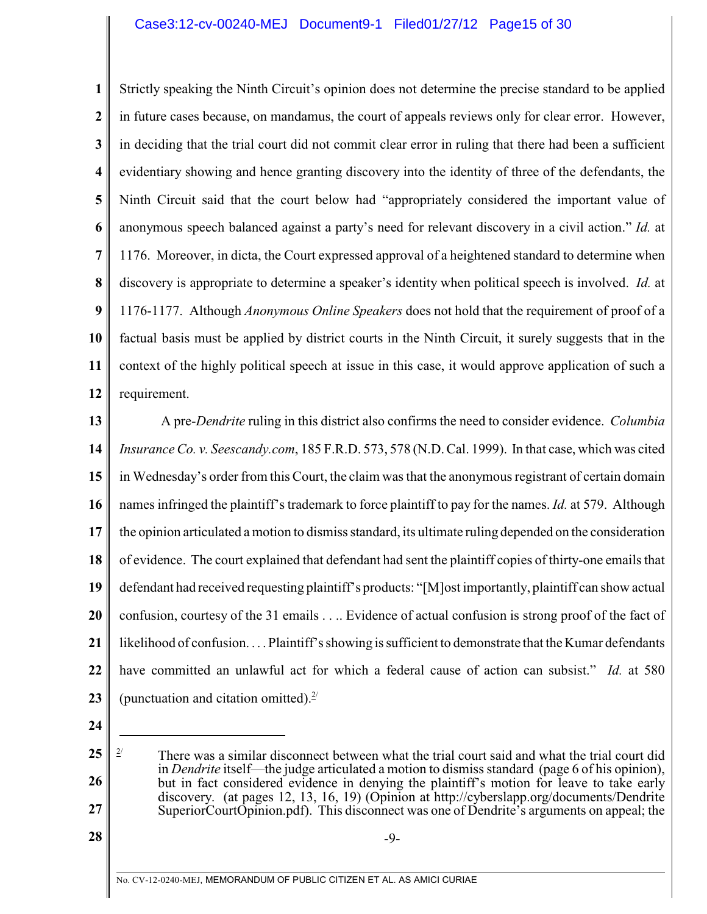# Case3:12-cv-00240-MEJ Document9-1 Filed01/27/12 Page15 of 30

**1 2 3 4 5 6 7 8 9 10 11 12** Strictly speaking the Ninth Circuit's opinion does not determine the precise standard to be applied in future cases because, on mandamus, the court of appeals reviews only for clear error. However, in deciding that the trial court did not commit clear error in ruling that there had been a sufficient evidentiary showing and hence granting discovery into the identity of three of the defendants, the Ninth Circuit said that the court below had "appropriately considered the important value of anonymous speech balanced against a party's need for relevant discovery in a civil action." *Id.* at 1176. Moreover, in dicta, the Court expressed approval of a heightened standard to determine when discovery is appropriate to determine a speaker's identity when political speech is involved. *Id.* at 1176-1177. Although *Anonymous Online Speakers* does not hold that the requirement of proof of a factual basis must be applied by district courts in the Ninth Circuit, it surely suggests that in the context of the highly political speech at issue in this case, it would approve application of such a requirement.

**13 14 15 16 17 18 19 20 21 22 23** A pre-*Dendrite* ruling in this district also confirms the need to consider evidence. *Columbia Insurance Co. v. Seescandy.com*, 185 F.R.D. 573, 578 (N.D. Cal. 1999). In that case, which was cited in Wednesday's order from this Court, the claim was that the anonymous registrant of certain domain names infringed the plaintiff's trademark to force plaintiff to pay for the names. *Id.* at 579. Although the opinion articulated a motion to dismiss standard, its ultimate ruling depended on the consideration of evidence. The court explained that defendant had sent the plaintiff copies of thirty-one emails that defendant had received requesting plaintiff's products: "[M]ost importantly, plaintiff can show actual confusion, courtesy of the 31 emails . . .. Evidence of actual confusion is strong proof of the fact of likelihood of confusion. . . . Plaintiff's showing is sufficient to demonstrate that the Kumar defendants have committed an unlawful act for which a federal cause of action can subsist." *Id.* at 580 (punctuation and citation omitted). $2^{2}$ 

**24**

**27**

-9-

**<sup>25</sup> 26**

 $\frac{2}{7}$  There was a similar disconnect between what the trial court said and what the trial court did in *Dendrite* itself—the judge articulated a motion to dismiss standard (page 6 of his opinion), but in fact considered evidence in denying the plaintiff's motion for leave to take early discovery. (at pages 12, 13, 16, 19) (Opinion at http://cyberslapp.org/documents/Dendrite SuperiorCourtOpinion.pdf). This disconnect was one of Dendrite's arguments on appeal; the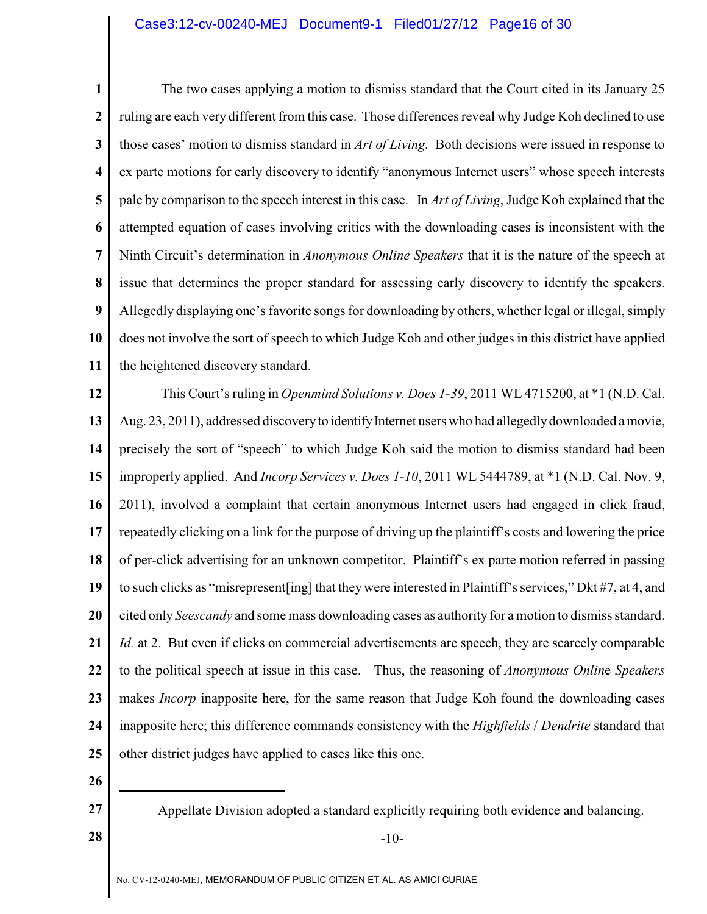### Case3:12-cv-00240-MEJ Document9-1 Filed01/27/12 Page16 of 30

**1 2 3 4 5 6 7 8 9 10 11** The two cases applying a motion to dismiss standard that the Court cited in its January 25 ruling are each very different from this case. Those differences reveal why Judge Koh declined to use those cases' motion to dismiss standard in *Art of Living.* Both decisions were issued in response to ex parte motions for early discovery to identify "anonymous Internet users" whose speech interests pale by comparison to the speech interest in this case. In *Art of Living*, Judge Koh explained that the attempted equation of cases involving critics with the downloading cases is inconsistent with the Ninth Circuit's determination in *Anonymous Online Speakers* that it is the nature of the speech at issue that determines the proper standard for assessing early discovery to identify the speakers. Allegedly displaying one's favorite songs for downloading by others, whether legal or illegal, simply does not involve the sort of speech to which Judge Koh and other judges in this district have applied the heightened discovery standard.

**12 13 14 15 16 17 18 19 20 21 22 23 24 25** This Court's ruling in *Openmind Solutions v. Does 1-39*, 2011 WL 4715200, at \*1 (N.D. Cal. Aug. 23, 2011), addressed discovery to identify Internet users who had allegedly downloaded a movie, precisely the sort of "speech" to which Judge Koh said the motion to dismiss standard had been improperly applied. And *Incorp Services v. Does 1-10*, 2011 WL 5444789, at \*1 (N.D. Cal. Nov. 9, 2011), involved a complaint that certain anonymous Internet users had engaged in click fraud, repeatedly clicking on a link for the purpose of driving up the plaintiff's costs and lowering the price of per-click advertising for an unknown competitor. Plaintiff's ex parte motion referred in passing to such clicks as "misrepresent[ing] that theywere interested in Plaintiff's services," Dkt #7, at 4, and cited only *Seescandy* and some mass downloading cases as authority for a motion to dismiss standard. *Id.* at 2. But even if clicks on commercial advertisements are speech, they are scarcely comparable to the political speech at issue in this case. Thus, the reasoning of *Anonymous Onlin*e *Speakers* makes *Incorp* inapposite here, for the same reason that Judge Koh found the downloading cases inapposite here; this difference commands consistency with the *Highfields* / *Dendrite* standard that other district judges have applied to cases like this one.

- **26**
- **27**

Appellate Division adopted a standard explicitly requiring both evidence and balancing.

-10-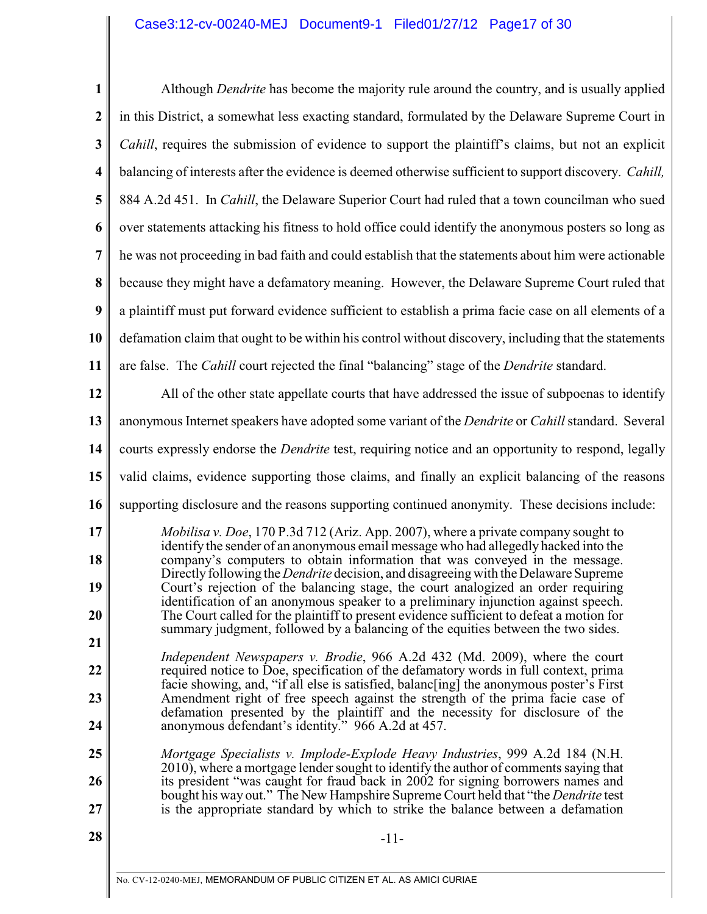# Case3:12-cv-00240-MEJ Document9-1 Filed01/27/12 Page17 of 30

| $\mathbf{1}$ | Although <i>Dendrite</i> has become the majority rule around the country, and is usually applied                                                                                 |
|--------------|----------------------------------------------------------------------------------------------------------------------------------------------------------------------------------|
| 2            | in this District, a somewhat less exacting standard, formulated by the Delaware Supreme Court in                                                                                 |
| 3            | <i>Cahill</i> , requires the submission of evidence to support the plaintiff's claims, but not an explicit                                                                       |
| 4            | balancing of interests after the evidence is deemed otherwise sufficient to support discovery. Cahill,                                                                           |
| 5            | 884 A.2d 451. In <i>Cahill</i> , the Delaware Superior Court had ruled that a town councilman who sued                                                                           |
| 6            | over statements attacking his fitness to hold office could identify the anonymous posters so long as                                                                             |
| 7            | he was not proceeding in bad faith and could establish that the statements about him were actionable                                                                             |
| 8            | because they might have a defamatory meaning. However, the Delaware Supreme Court ruled that                                                                                     |
| 9            | a plaintiff must put forward evidence sufficient to establish a prima facie case on all elements of a                                                                            |
| 10           | defamation claim that ought to be within his control without discovery, including that the statements                                                                            |
| 11           | are false. The <i>Cahill</i> court rejected the final "balancing" stage of the <i>Dendrite</i> standard.                                                                         |
| 12           | All of the other state appellate courts that have addressed the issue of subpoenas to identify                                                                                   |
| 13           | anonymous Internet speakers have adopted some variant of the <i>Dendrite</i> or <i>Cahill</i> standard. Several                                                                  |
| 14           | courts expressly endorse the <i>Dendrite</i> test, requiring notice and an opportunity to respond, legally                                                                       |
| 15           | valid claims, evidence supporting those claims, and finally an explicit balancing of the reasons                                                                                 |
| 16           | supporting disclosure and the reasons supporting continued anonymity. These decisions include:                                                                                   |
| 17           | <i>Mobilisa v. Doe,</i> 170 P.3d 712 (Ariz. App. 2007), where a private company sought to<br>identify the sender of an anonymous email message who had allegedly hacked into the |
| 18           | company's computers to obtain information that was conveyed in the message.<br>Directly following the <i>Dendrite</i> decision, and disagreeing with the Delaware Supreme        |
| 19           | Court's rejection of the balancing stage, the court analogized an order requiring<br>identification of an anonymous speaker to a preliminary injunction against speech.          |
| 20           | The Court called for the plaintiff to present evidence sufficient to defeat a motion for<br>summary judgment, followed by a balancing of the equities between the two sides.     |
| 21           | <i>Independent Newspapers v. Brodie, 966 A.2d 432 (Md. 2009), where the court</i>                                                                                                |
| 22           | required notice to Doe, specification of the defamatory words in full context, prima<br>facie showing, and, "if all else is satisfied, balance ing the anonymous poster's First  |
| 23           | Amendment right of free speech against the strength of the prima facie case of<br>defamation presented by the plaintiff and the necessity for disclosure of the                  |
| 24           | anonymous defendant's identity." 966 A.2d at 457.                                                                                                                                |
| 25           | Mortgage Specialists v. Implode-Explode Heavy Industries, 999 A.2d 184 (N.H.<br>2010), where a mortgage lender sought to identify the author of comments saying that             |
| 26           | its president "was caught for fraud back in 2002 for signing borrowers names and<br>bought his way out." The New Hampshire Supreme Court held that "the <i>Dendrite</i> test     |
| 27           | is the appropriate standard by which to strike the balance between a defamation                                                                                                  |
| 28           | $-11-$                                                                                                                                                                           |
|              | No. CV-12-0240-MEJ, MEMORANDUM OF PUBLIC CITIZEN ET AL. AS AMICI CURIAE                                                                                                          |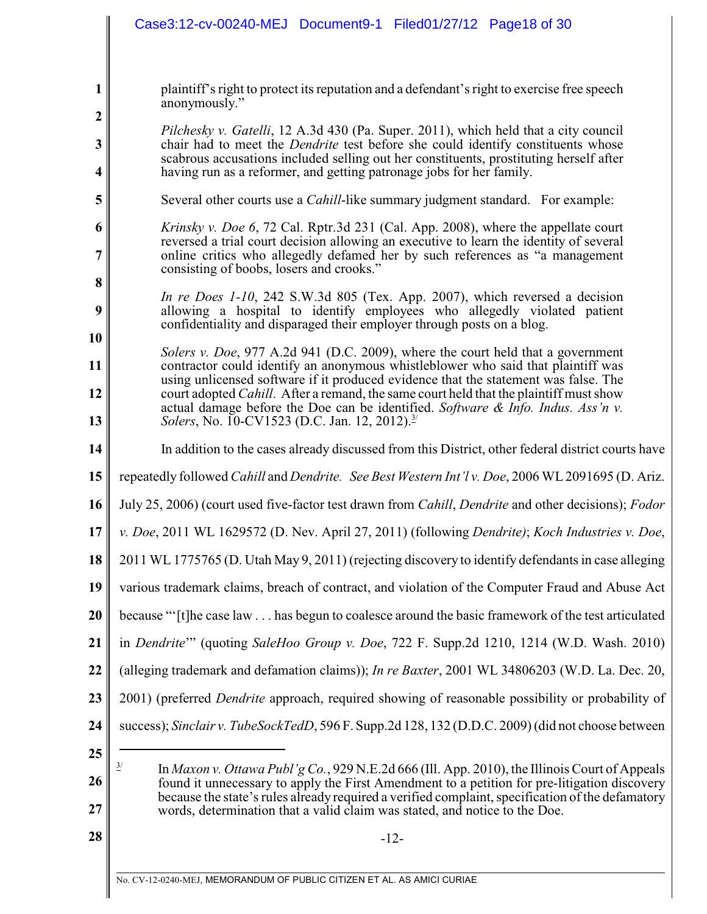|                   | Case3:12-cv-00240-MEJ Document9-1 Filed01/27/12 Page18 of 30                                                                                                                                                                                              |
|-------------------|-----------------------------------------------------------------------------------------------------------------------------------------------------------------------------------------------------------------------------------------------------------|
|                   |                                                                                                                                                                                                                                                           |
| $\mathbf{1}$      | plaintiff's right to protect its reputation and a defendant's right to exercise free speech<br>anonymously."                                                                                                                                              |
| $\boldsymbol{2}$  | <i>Pilchesky v. Gatelli,</i> 12 A.3d 430 (Pa. Super. 2011), which held that a city council                                                                                                                                                                |
| $\mathbf{3}$<br>4 | chair had to meet the <i>Dendrite</i> test before she could identify constituents whose<br>scabrous accusations included selling out her constituents, prostituting herself after<br>having run as a reformer, and getting patronage jobs for her family. |
| 5                 | Several other courts use a <i>Cahill</i> -like summary judgment standard. For example:                                                                                                                                                                    |
| 6                 | <i>Krinsky v. Doe 6, 72 Cal. Rptr.3d 231 (Cal. App. 2008), where the appellate court</i>                                                                                                                                                                  |
| 7                 | reversed a trial court decision allowing an executive to learn the identity of several<br>online critics who allegedly defamed her by such references as "a management<br>consisting of boobs, losers and crooks."                                        |
| 8                 | In re Does $1-10$ , 242 S.W.3d 805 (Tex. App. 2007), which reversed a decision                                                                                                                                                                            |
| 9                 | allowing a hospital to identify employees who allegedly violated patient<br>confidentiality and disparaged their employer through posts on a blog.                                                                                                        |
| 10                | Solers v. Doe, 977 A.2d 941 (D.C. 2009), where the court held that a government                                                                                                                                                                           |
| 11                | contractor could identify an anonymous whistleblower who said that plaintiff was<br>using unlicensed software if it produced evidence that the statement was false. The                                                                                   |
| 12                | court adopted <i>Cahill</i> . After a remand, the same court held that the plaintiff must show<br>actual damage before the Doe can be identified. Software & Info. Indus. Ass'n $v$ .                                                                     |
| 13                | Solers, No. 10-CV1523 (D.C. Jan. 12, 2012). <sup>3/</sup>                                                                                                                                                                                                 |
| 14                | In addition to the cases already discussed from this District, other federal district courts have                                                                                                                                                         |
| 15                | repeatedly followed Cahill and Dendrite. See Best Western Int'l v. Doe, 2006 WL 2091695 (D. Ariz.                                                                                                                                                         |
| 16                | July 25, 2006) (court used five-factor test drawn from <i>Cahill</i> , <i>Dendrite</i> and other decisions); <i>Fodor</i>                                                                                                                                 |
| 17                | v. Doe, 2011 WL 1629572 (D. Nev. April 27, 2011) (following Dendrite); Koch Industries v. Doe,                                                                                                                                                            |
| 18                | 2011 WL 1775765 (D. Utah May 9, 2011) (rejecting discovery to identify defendants in case alleging                                                                                                                                                        |
| 19                | various trademark claims, breach of contract, and violation of the Computer Fraud and Abuse Act                                                                                                                                                           |
| 20                | because "'[t]he case law has begun to coalesce around the basic framework of the test articulated                                                                                                                                                         |
| 21                | in <i>Dendrite</i> " (quoting <i>SaleHoo Group v. Doe, 722 F. Supp.2d 1210, 1214 (W.D. Wash. 2010)</i>                                                                                                                                                    |
| 22                | (alleging trademark and defamation claims)); <i>In re Baxter</i> , 2001 WL 34806203 (W.D. La. Dec. 20,                                                                                                                                                    |
| 23                | 2001) (preferred <i>Dendrite</i> approach, required showing of reasonable possibility or probability of                                                                                                                                                   |
| 24                | success); Sinclair v. TubeSockTedD, 596 F. Supp.2d 128, 132 (D.D.C. 2009) (did not choose between                                                                                                                                                         |
| 25                | $\underline{3}/$<br>In Maxon v. Ottawa Publ'g Co., 929 N.E.2d 666 (Ill. App. 2010), the Illinois Court of Appeals                                                                                                                                         |
| 26                | found it unnecessary to apply the First Amendment to a petition for pre-litigation discovery<br>because the state's rules already required a verified complaint, specification of the defamatory                                                          |
| 27                | words, determination that a valid claim was stated, and notice to the Doe.                                                                                                                                                                                |
| 28                | $-12-$                                                                                                                                                                                                                                                    |
|                   |                                                                                                                                                                                                                                                           |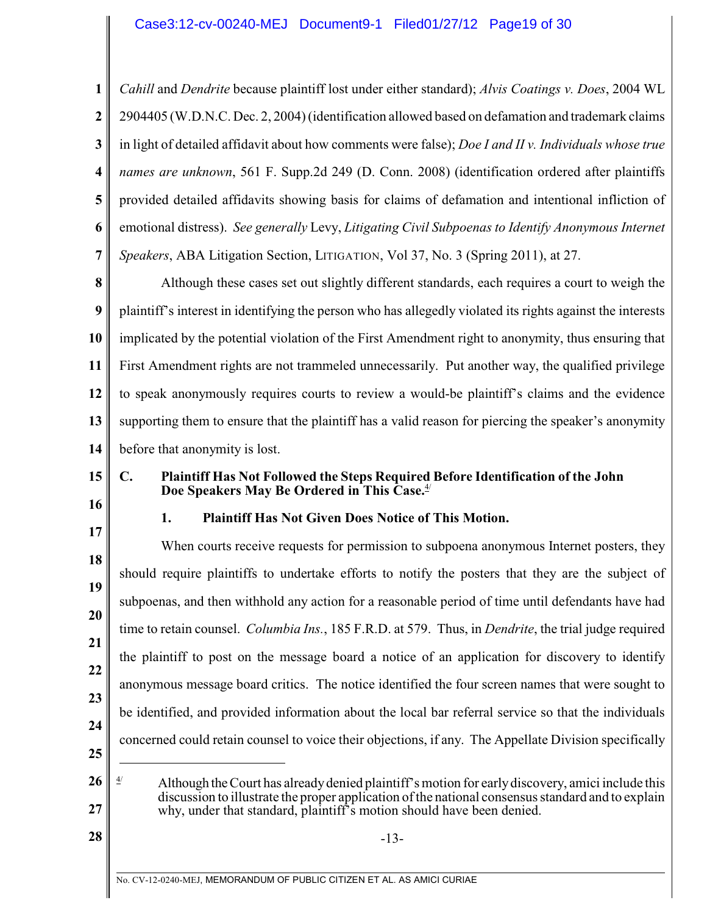**1 2 3 4 5 6 7** *Cahill* and *Dendrite* because plaintiff lost under either standard); *Alvis Coatings v. Does*, 2004 WL 2904405 (W.D.N.C. Dec. 2, 2004)(identification allowed based on defamation and trademark claims in light of detailed affidavit about how comments were false); *Doe I and II v. Individuals whose true names are unknown*, 561 F. Supp.2d 249 (D. Conn. 2008) (identification ordered after plaintiffs provided detailed affidavits showing basis for claims of defamation and intentional infliction of emotional distress). *See generally* Levy, *Litigating Civil Subpoenas to Identify Anonymous Internet Speakers*, ABA Litigation Section, LITIGATION, Vol 37, No. 3 (Spring 2011), at 27.

**8 9 10 11 12 13 14** Although these cases set out slightly different standards, each requires a court to weigh the plaintiff's interest in identifying the person who has allegedly violated its rights against the interests implicated by the potential violation of the First Amendment right to anonymity, thus ensuring that First Amendment rights are not trammeled unnecessarily. Put another way, the qualified privilege to speak anonymously requires courts to review a would-be plaintiff's claims and the evidence supporting them to ensure that the plaintiff has a valid reason for piercing the speaker's anonymity before that anonymity is lost.

- **15**
- **16**
- 

# **1. Plaintiff Has Not Given Does Notice of This Motion.**

**Doe Speakers May Be Ordered in This Case.**4/

**C. Plaintiff Has Not Followed the Steps Required Before Identification of the John**

**17 18 19 20 21 22 23 24 25** When courts receive requests for permission to subpoena anonymous Internet posters, they should require plaintiffs to undertake efforts to notify the posters that they are the subject of subpoenas, and then withhold any action for a reasonable period of time until defendants have had time to retain counsel. *Columbia Ins.*, 185 F.R.D. at 579. Thus, in *Dendrite*, the trial judge required the plaintiff to post on the message board a notice of an application for discovery to identify anonymous message board critics. The notice identified the four screen names that were sought to be identified, and provided information about the local bar referral service so that the individuals concerned could retain counsel to voice their objections, if any. The Appellate Division specifically

**26 27** Although the Court has already denied plaintiff's motion for early discovery, amici include this 4/ discussion to illustrate the proper application of the national consensusstandard and to explain why, under that standard, plaintiff's motion should have been denied.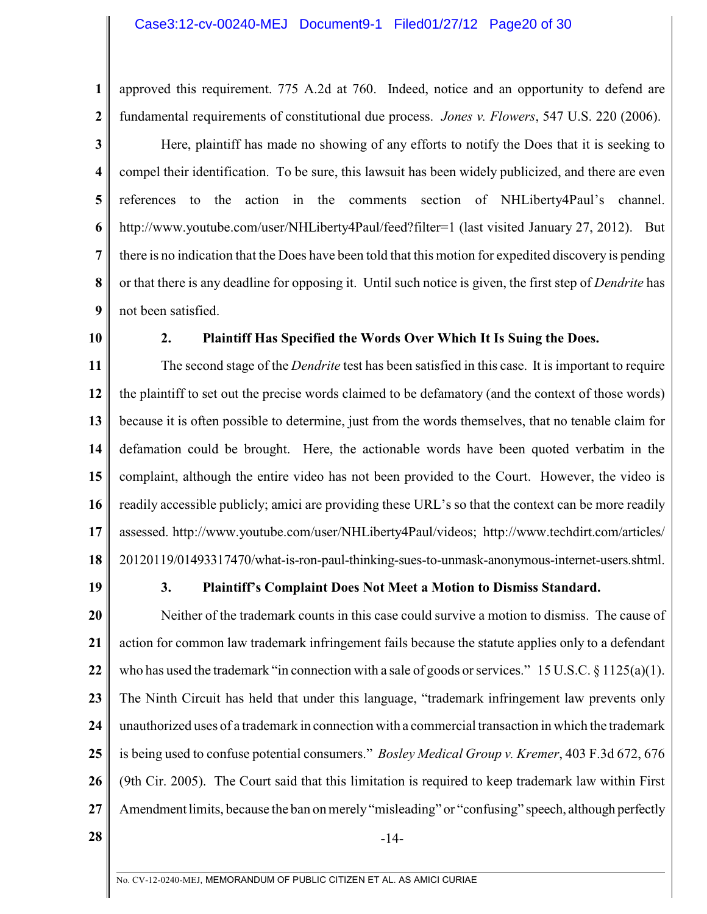approved this requirement. 775 A.2d at 760. Indeed, notice and an opportunity to defend are fundamental requirements of constitutional due process. *Jones v. Flowers*, 547 U.S. 220 (2006).

**3 4 5 6 7 8 9** Here, plaintiff has made no showing of any efforts to notify the Does that it is seeking to compel their identification. To be sure, this lawsuit has been widely publicized, and there are even references to the action in the comments section of NHLiberty4Paul's channel. http://www.youtube.com/user/NHLiberty4Paul/feed?filter=1 (last visited January 27, 2012). But there is no indication that the Does have been told that this motion for expedited discovery is pending or that there is any deadline for opposing it. Until such notice is given, the first step of *Dendrite* has not been satisfied.

**10**

**1**

**2**

#### **2. Plaintiff Has Specified the Words Over Which It Is Suing the Does.**

**11 12 13 14 15 16 17 18** The second stage of the *Dendrite* test has been satisfied in this case. It is important to require the plaintiff to set out the precise words claimed to be defamatory (and the context of those words) because it is often possible to determine, just from the words themselves, that no tenable claim for defamation could be brought. Here, the actionable words have been quoted verbatim in the complaint, although the entire video has not been provided to the Court. However, the video is readily accessible publicly; amici are providing these URL's so that the context can be more readily assessed. http://www.youtube.com/user/NHLiberty4Paul/videos; http://www.techdirt.com/articles/ 20120119/01493317470/what-is-ron-paul-thinking-sues-to-unmask-anonymous-internet-users.shtml.

**19**

#### **3. Plaintiff's Complaint Does Not Meet a Motion to Dismiss Standard.**

**20 21 22 23 24 25 26 27** Neither of the trademark counts in this case could survive a motion to dismiss. The cause of action for common law trademark infringement fails because the statute applies only to a defendant who has used the trademark "in connection with a sale of goods or services." 15 U.S.C. § 1125(a)(1). The Ninth Circuit has held that under this language, "trademark infringement law prevents only unauthorized uses of a trademark in connection with a commercial transaction in which the trademark is being used to confuse potential consumers." *Bosley Medical Group v. Kremer*, 403 F.3d 672, 676 (9th Cir. 2005). The Court said that this limitation is required to keep trademark law within First Amendment limits, because the ban on merely "misleading" or "confusing" speech, although perfectly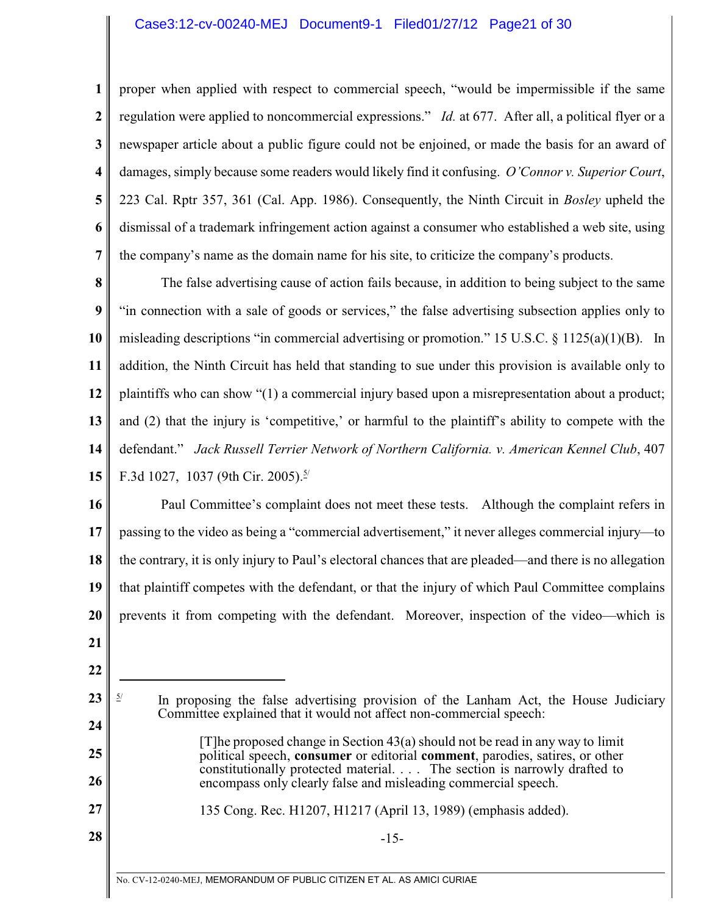## Case3:12-cv-00240-MEJ Document9-1 Filed01/27/12 Page21 of 30

**1 2 3 4 5 6 7** proper when applied with respect to commercial speech, "would be impermissible if the same regulation were applied to noncommercial expressions." *Id.* at 677. After all, a political flyer or a newspaper article about a public figure could not be enjoined, or made the basis for an award of damages, simply because some readers would likely find it confusing. *O'Connor v. Superior Court*, 223 Cal. Rptr 357, 361 (Cal. App. 1986). Consequently, the Ninth Circuit in *Bosley* upheld the dismissal of a trademark infringement action against a consumer who established a web site, using the company's name as the domain name for his site, to criticize the company's products.

**8 9 10 11 12 13 14 15** The false advertising cause of action fails because, in addition to being subject to the same "in connection with a sale of goods or services," the false advertising subsection applies only to misleading descriptions "in commercial advertising or promotion." 15 U.S.C.  $\S$  1125(a)(1)(B). In addition, the Ninth Circuit has held that standing to sue under this provision is available only to plaintiffs who can show "(1) a commercial injury based upon a misrepresentation about a product; and (2) that the injury is 'competitive,' or harmful to the plaintiff's ability to compete with the defendant." *Jack Russell Terrier Network of Northern California. v. American Kennel Club*, 407 F.3d 1027, 1037 (9th Cir. 2005).<sup>5/</sup>

**16 17 18 19 20** Paul Committee's complaint does not meet these tests. Although the complaint refers in passing to the video as being a "commercial advertisement," it never alleges commercial injury—to the contrary, it is only injury to Paul's electoral chances that are pleaded—and there is no allegation that plaintiff competes with the defendant, or that the injury of which Paul Committee complains prevents it from competing with the defendant. Moreover, inspection of the video—which is

**21 22**

**25**

**26**

**27**

**28**

- **23 24**  $\frac{5}{1}$  In proposing the false advertising provision of the Lanham Act, the House Judiciary Committee explained that it would not affect non-commercial speech:
	- [T]he proposed change in Section 43(a) should not be read in any way to limit political speech, **consumer** or editorial **comment**, parodies, satires, or other constitutionally protected material. . . . The section is narrowly drafted to encompass only clearly false and misleading commercial speech.

135 Cong. Rec. H1207, H1217 (April 13, 1989) (emphasis added).

-15-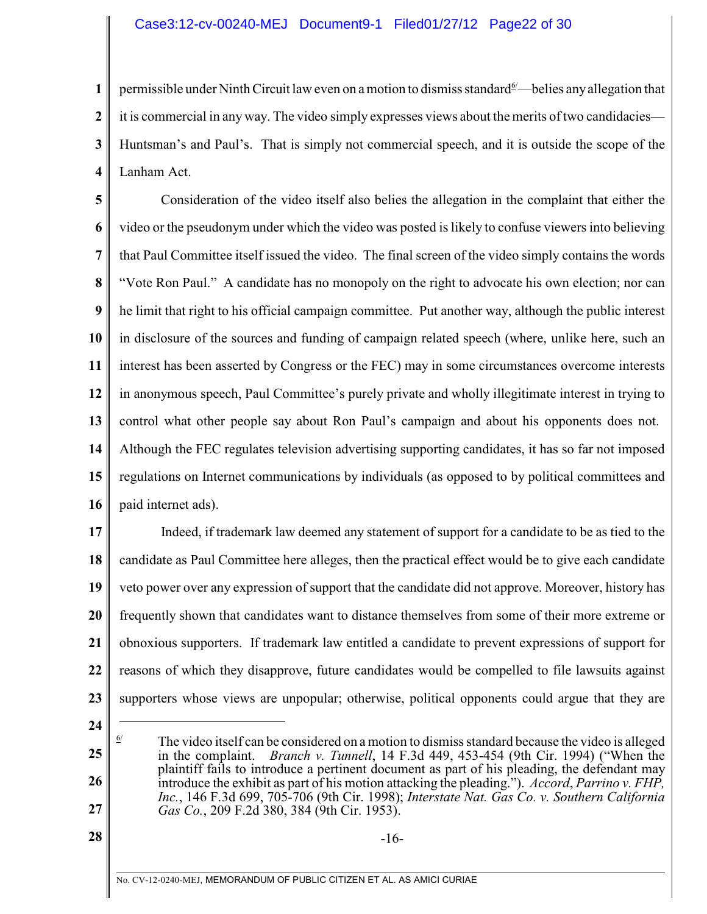# Case3:12-cv-00240-MEJ Document9-1 Filed01/27/12 Page22 of 30

**1 2 3 4** permissible under Ninth Circuit law even on a motion to dismiss standard  $\frac{6}{2}$  belies any allegation that it is commercial in any way. The video simply expresses views about the merits oftwo candidacies— Huntsman's and Paul's. That is simply not commercial speech, and it is outside the scope of the Lanham Act.

**5 6 7 8 9 10 11 12 13 14 15 16** Consideration of the video itself also belies the allegation in the complaint that either the video or the pseudonym under which the video was posted is likely to confuse viewers into believing that Paul Committee itself issued the video. The final screen of the video simply contains the words "Vote Ron Paul." A candidate has no monopoly on the right to advocate his own election; nor can he limit that right to his official campaign committee. Put another way, although the public interest in disclosure of the sources and funding of campaign related speech (where, unlike here, such an interest has been asserted by Congress or the FEC) may in some circumstances overcome interests in anonymous speech, Paul Committee's purely private and wholly illegitimate interest in trying to control what other people say about Ron Paul's campaign and about his opponents does not. Although the FEC regulates television advertising supporting candidates, it has so far not imposed regulations on Internet communications by individuals (as opposed to by political committees and paid internet ads).

**17 18 19 20 21 22 23** Indeed, if trademark law deemed any statement of support for a candidate to be as tied to the candidate as Paul Committee here alleges, then the practical effect would be to give each candidate veto power over any expression of support that the candidate did not approve. Moreover, history has frequently shown that candidates want to distance themselves from some of their more extreme or obnoxious supporters. If trademark law entitled a candidate to prevent expressions of support for reasons of which they disapprove, future candidates would be compelled to file lawsuits against supporters whose views are unpopular; otherwise, political opponents could argue that they are

- **24**
- **25 26**

**28**

 $\frac{6}{10}$  The video itself can be considered on a motion to dismiss standard because the video is alleged in the complaint. *Branch v. Tunnell*, 14 F.3d 449, 453-454 (9th Cir. 1994) ("When the plaintiff fails to introduce a pertinent document as part of his pleading, the defendant may introduce the exhibit as part of his motion attacking the pleading."). *Accord*, *Parrino v. FHP, Inc.*, 146 F.3d 699, 705-706 (9th Cir. 1998); *Interstate Nat. Gas Co. v. Southern California Gas Co.*, 209 F.2d 380, 384 (9th Cir. 1953).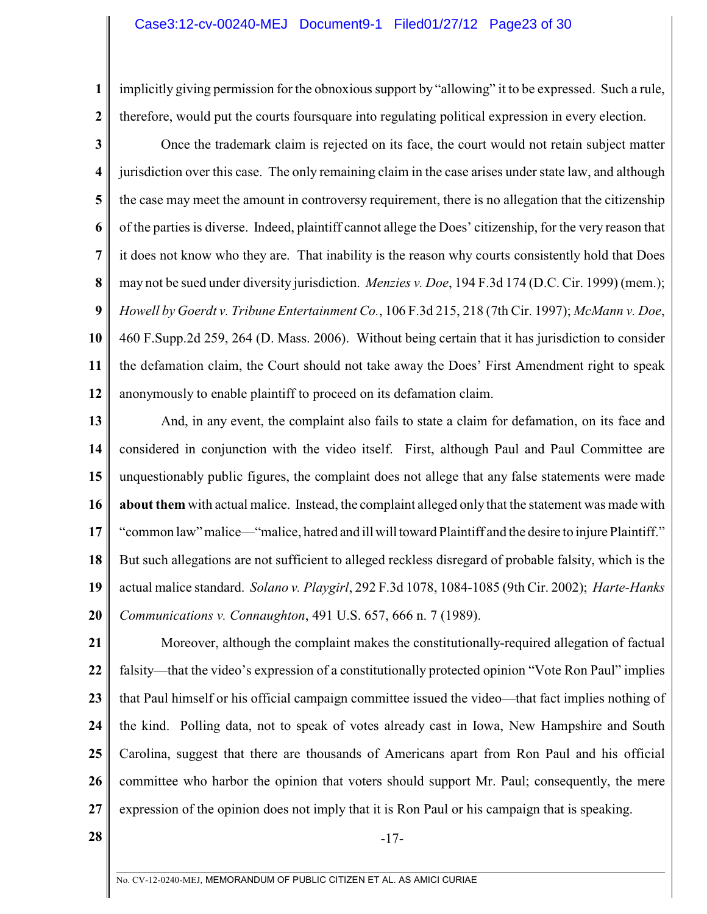**1 2** implicitly giving permission for the obnoxious support by "allowing" it to be expressed. Such a rule, therefore, would put the courts foursquare into regulating political expression in every election.

**3 4 5 6 7 8 9 10 11 12** Once the trademark claim is rejected on its face, the court would not retain subject matter jurisdiction over this case. The only remaining claim in the case arises understate law, and although the case may meet the amount in controversy requirement, there is no allegation that the citizenship of the parties is diverse. Indeed, plaintiff cannot allege the Does' citizenship, for the very reason that it does not know who they are. That inability is the reason why courts consistently hold that Does may not be sued under diversity jurisdiction. *Menzies v. Doe*, 194 F.3d 174 (D.C. Cir. 1999) (mem.); *Howell by Goerdt v. Tribune Entertainment Co.*, 106 F.3d 215, 218 (7th Cir. 1997); *McMann v. Doe*, 460 F.Supp.2d 259, 264 (D. Mass. 2006). Without being certain that it has jurisdiction to consider the defamation claim, the Court should not take away the Does' First Amendment right to speak anonymously to enable plaintiff to proceed on its defamation claim.

**13 14 15 16 17 18 19 20** And, in any event, the complaint also fails to state a claim for defamation, on its face and considered in conjunction with the video itself. First, although Paul and Paul Committee are unquestionably public figures, the complaint does not allege that any false statements were made **about them** with actual malice. Instead, the complaint alleged only that the statement was made with "common law" malice—"malice, hatred and ill will toward Plaintiff and the desire to injure Plaintiff." But such allegations are not sufficient to alleged reckless disregard of probable falsity, which is the actual malice standard. *Solano v. Playgirl*, 292 F.3d 1078, 1084-1085 (9th Cir. 2002); *Harte-Hanks Communications v. Connaughton*, 491 U.S. 657, 666 n. 7 (1989).

**21 22 23 24 25 26 27** Moreover, although the complaint makes the constitutionally-required allegation of factual falsity—that the video's expression of a constitutionally protected opinion "Vote Ron Paul" implies that Paul himself or his official campaign committee issued the video—that fact implies nothing of the kind. Polling data, not to speak of votes already cast in Iowa, New Hampshire and South Carolina, suggest that there are thousands of Americans apart from Ron Paul and his official committee who harbor the opinion that voters should support Mr. Paul; consequently, the mere expression of the opinion does not imply that it is Ron Paul or his campaign that is speaking.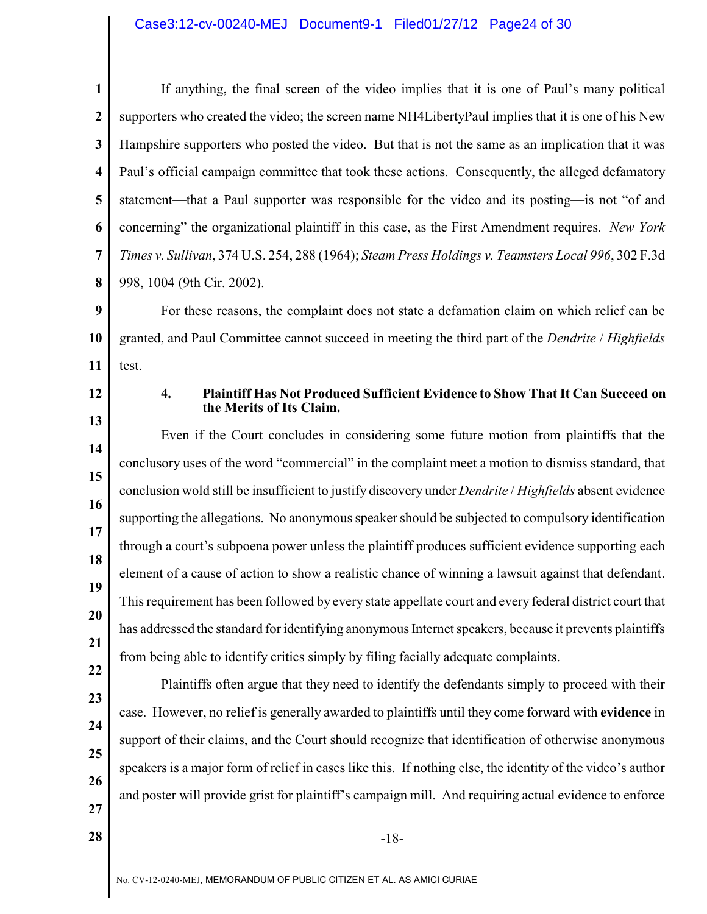### Case3:12-cv-00240-MEJ Document9-1 Filed01/27/12 Page24 of 30

|                         | If anything, the final screen of the video implies that it is one of Paul's many political         |
|-------------------------|----------------------------------------------------------------------------------------------------|
| $\overline{2}$          | supporters who created the video; the screen name NH4LibertyPaul implies that it is one of his New |
| $\overline{\mathbf{3}}$ | Hampshire supporters who posted the video. But that is not the same as an implication that it was  |
| $\overline{\mathbf{4}}$ | Paul's official campaign committee that took these actions. Consequently, the alleged defamatory   |
| 5                       | statement—that a Paul supporter was responsible for the video and its posting—is not "of and       |
| 6                       | concerning" the organizational plaintiff in this case, as the First Amendment requires. New York   |
| $7\phantom{.}$          | Times v. Sullivan, 374 U.S. 254, 288 (1964); Steam Press Holdings v. Teamsters Local 996, 302 F.3d |
| 8                       | 998, 1004 (9th Cir. 2002).                                                                         |
|                         |                                                                                                    |

**9 10 11** For these reasons, the complaint does not state a defamation claim on which relief can be granted, and Paul Committee cannot succeed in meeting the third part of the *Dendrite* / *Highfields* test.

**12**

**13**

### **4. Plaintiff Has Not Produced Sufficient Evidence to Show That It Can Succeed on the Merits of Its Claim.**

**14 15 16 17 18 19 20 21** Even if the Court concludes in considering some future motion from plaintiffs that the conclusory uses of the word "commercial" in the complaint meet a motion to dismiss standard, that conclusion wold still be insufficient to justify discovery under *Dendrite* / *Highfields* absent evidence supporting the allegations. No anonymous speaker should be subjected to compulsory identification through a court's subpoena power unless the plaintiff produces sufficient evidence supporting each element of a cause of action to show a realistic chance of winning a lawsuit against that defendant. This requirement has been followed by every state appellate court and every federal district court that has addressed the standard for identifying anonymous Internet speakers, because it prevents plaintiffs from being able to identify critics simply by filing facially adequate complaints.

**22 23 24**

Plaintiffs often argue that they need to identify the defendants simply to proceed with their case. However, no relief is generally awarded to plaintiffs until they come forward with **evidence** in support of their claims, and the Court should recognize that identification of otherwise anonymous speakers is a major form of relief in cases like this. If nothing else, the identity of the video's author and poster will provide grist for plaintiff's campaign mill. And requiring actual evidence to enforce

**27**

**25**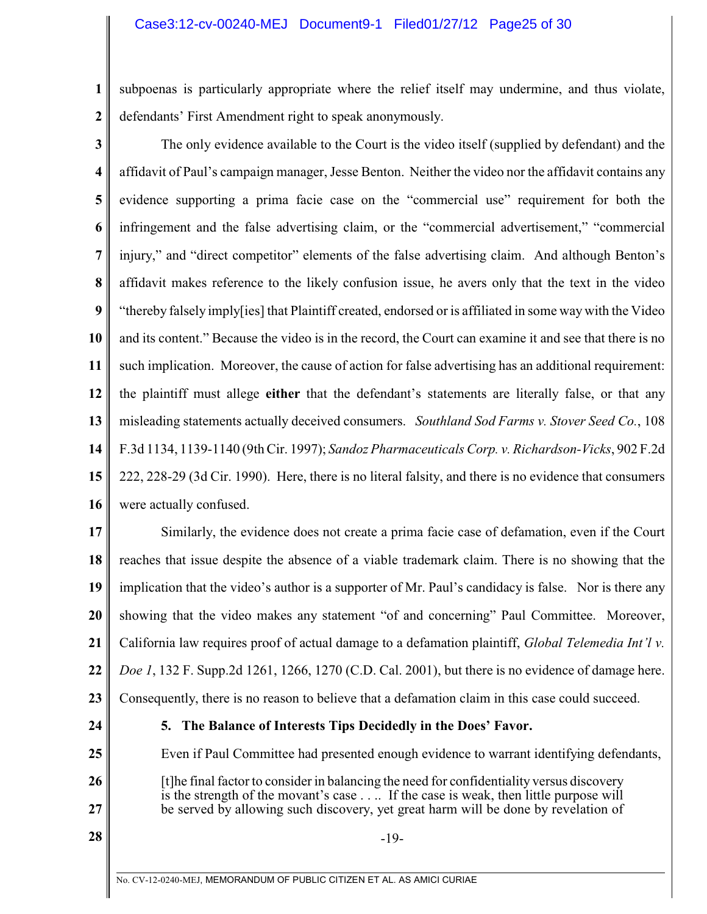**1 2** subpoenas is particularly appropriate where the relief itself may undermine, and thus violate, defendants' First Amendment right to speak anonymously.

**3 4 5 6 7 8 9 10 11 12 13 14 15 16** The only evidence available to the Court is the video itself (supplied by defendant) and the affidavit of Paul's campaign manager, Jesse Benton. Neither the video nor the affidavit contains any evidence supporting a prima facie case on the "commercial use" requirement for both the infringement and the false advertising claim, or the "commercial advertisement," "commercial injury," and "direct competitor" elements of the false advertising claim. And although Benton's affidavit makes reference to the likely confusion issue, he avers only that the text in the video "thereby falsely imply[ies] that Plaintiff created, endorsed or is affiliated in some way with the Video and its content." Because the video is in the record, the Court can examine it and see that there is no such implication. Moreover, the cause of action for false advertising has an additional requirement: the plaintiff must allege **either** that the defendant's statements are literally false, or that any misleading statements actually deceived consumers. *Southland Sod Farms v. Stover Seed Co.*, 108 F.3d 1134, 1139-1140 (9th Cir. 1997); *Sandoz Pharmaceuticals Corp. v. Richardson-Vicks*, 902 F.2d 222, 228-29 (3d Cir. 1990). Here, there is no literal falsity, and there is no evidence that consumers were actually confused.

**17 18 19 20 21 22 23** Similarly, the evidence does not create a prima facie case of defamation, even if the Court reaches that issue despite the absence of a viable trademark claim. There is no showing that the implication that the video's author is a supporter of Mr. Paul's candidacy is false. Nor is there any showing that the video makes any statement "of and concerning" Paul Committee. Moreover, California law requires proof of actual damage to a defamation plaintiff, *Global Telemedia Int'l v. Doe 1*, 132 F. Supp.2d 1261, 1266, 1270 (C.D. Cal. 2001), but there is no evidence of damage here. Consequently, there is no reason to believe that a defamation claim in this case could succeed.

**24**

**25**

**26**

**27**

# **5. The Balance of Interests Tips Decidedly in the Does' Favor.**

Even if Paul Committee had presented enough evidence to warrant identifying defendants,

- [t]he final factor to consider in balancing the need for confidentiality versus discovery is the strength of the movant's case . . .. If the case is weak, then little purpose will be served by allowing such discovery, yet great harm will be done by revelation of
-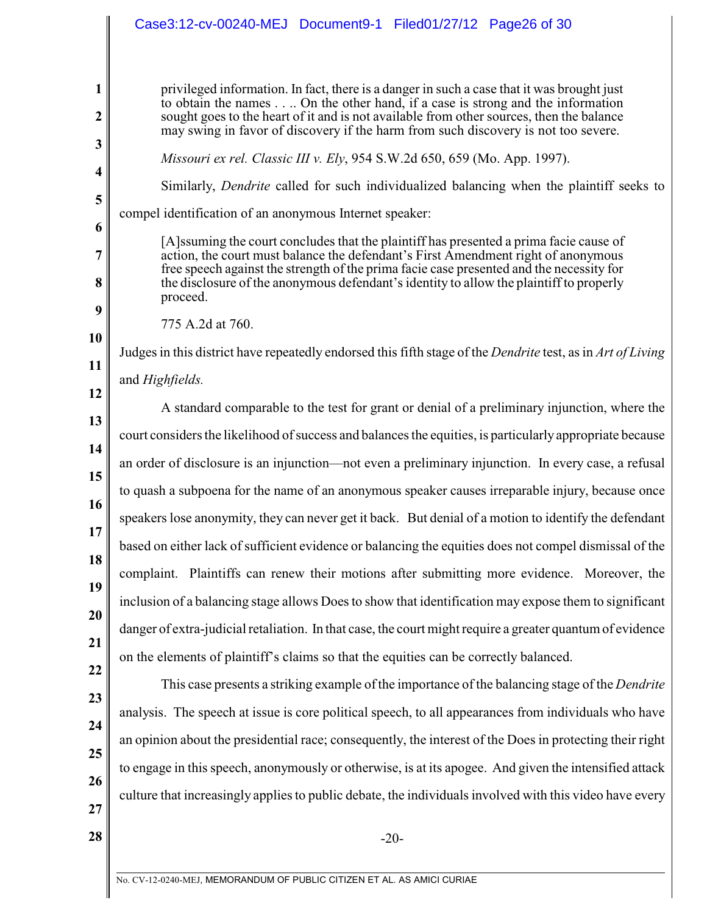|                                                                                                 | Case3:12-cv-00240-MEJ Document9-1 Filed01/27/12 Page26 of 30                                                                                                                                                                                                                                                                                                                                                                                                                                                                                                                                                                                                                                                                                                                                                                                                                                                                                                                                                                                                                                                                                                                                                                                                                                                                                                                                                                                                                                                                                                                                                                                                                                                                                                                                                                                                                         |
|-------------------------------------------------------------------------------------------------|--------------------------------------------------------------------------------------------------------------------------------------------------------------------------------------------------------------------------------------------------------------------------------------------------------------------------------------------------------------------------------------------------------------------------------------------------------------------------------------------------------------------------------------------------------------------------------------------------------------------------------------------------------------------------------------------------------------------------------------------------------------------------------------------------------------------------------------------------------------------------------------------------------------------------------------------------------------------------------------------------------------------------------------------------------------------------------------------------------------------------------------------------------------------------------------------------------------------------------------------------------------------------------------------------------------------------------------------------------------------------------------------------------------------------------------------------------------------------------------------------------------------------------------------------------------------------------------------------------------------------------------------------------------------------------------------------------------------------------------------------------------------------------------------------------------------------------------------------------------------------------------|
| 1<br>2<br>3<br>4<br>5<br>6<br>7<br>8<br>9<br>10<br>11<br>12<br>13<br>14<br>15<br>16<br>17<br>18 | privileged information. In fact, there is a danger in such a case that it was brought just<br>to obtain the names On the other hand, if a case is strong and the information<br>sought goes to the heart of it and is not available from other sources, then the balance<br>may swing in favor of discovery if the harm from such discovery is not too severe.<br>Missouri ex rel. Classic III v. Ely, 954 S.W.2d 650, 659 (Mo. App. 1997).<br>Similarly, Dendrite called for such individualized balancing when the plaintiff seeks to<br>compel identification of an anonymous Internet speaker:<br>[A] ssuming the court concludes that the plaintiff has presented a prima facie cause of<br>action, the court must balance the defendant's First Amendment right of anonymous<br>free speech against the strength of the prima facie case presented and the necessity for<br>the disclosure of the anonymous defendant's identity to allow the plaintiff to properly<br>proceed.<br>775 A.2d at 760.<br>Judges in this district have repeatedly endorsed this fifth stage of the Dendrite test, as in Art of Living<br>and Highfields.<br>A standard comparable to the test for grant or denial of a preliminary injunction, where the<br>court considers the likelihood of success and balances the equities, is particularly appropriate because<br>an order of disclosure is an injunction—not even a preliminary injunction. In every case, a refusal<br>to quash a subpoena for the name of an anonymous speaker causes irreparable injury, because once<br>speakers lose anonymity, they can never get it back. But denial of a motion to identify the defendant<br>based on either lack of sufficient evidence or balancing the equities does not compel dismissal of the<br>complaint. Plaintiffs can renew their motions after submitting more evidence. Moreover, the |
| 19<br>20                                                                                        | inclusion of a balancing stage allows Does to show that identification may expose them to significant<br>danger of extra-judicial retaliation. In that case, the court might require a greater quantum of evidence                                                                                                                                                                                                                                                                                                                                                                                                                                                                                                                                                                                                                                                                                                                                                                                                                                                                                                                                                                                                                                                                                                                                                                                                                                                                                                                                                                                                                                                                                                                                                                                                                                                                   |
| 21<br>22<br>23                                                                                  | on the elements of plaintiff's claims so that the equities can be correctly balanced.<br>This case presents a striking example of the importance of the balancing stage of the <i>Dendrite</i><br>analysis. The speech at issue is core political speech, to all appearances from individuals who have                                                                                                                                                                                                                                                                                                                                                                                                                                                                                                                                                                                                                                                                                                                                                                                                                                                                                                                                                                                                                                                                                                                                                                                                                                                                                                                                                                                                                                                                                                                                                                               |
| 24<br>25<br>26<br>27                                                                            | an opinion about the presidential race; consequently, the interest of the Does in protecting their right<br>to engage in this speech, anonymously or otherwise, is at its apogee. And given the intensified attack<br>culture that increasingly applies to public debate, the individuals involved with this video have every                                                                                                                                                                                                                                                                                                                                                                                                                                                                                                                                                                                                                                                                                                                                                                                                                                                                                                                                                                                                                                                                                                                                                                                                                                                                                                                                                                                                                                                                                                                                                        |
| 28                                                                                              | $-20-$                                                                                                                                                                                                                                                                                                                                                                                                                                                                                                                                                                                                                                                                                                                                                                                                                                                                                                                                                                                                                                                                                                                                                                                                                                                                                                                                                                                                                                                                                                                                                                                                                                                                                                                                                                                                                                                                               |
|                                                                                                 | No. CV-12-0240-MEJ. MEMORANDUM OF PUBLIC CITIZEN ET AL. AS AMICI CURIAE                                                                                                                                                                                                                                                                                                                                                                                                                                                                                                                                                                                                                                                                                                                                                                                                                                                                                                                                                                                                                                                                                                                                                                                                                                                                                                                                                                                                                                                                                                                                                                                                                                                                                                                                                                                                              |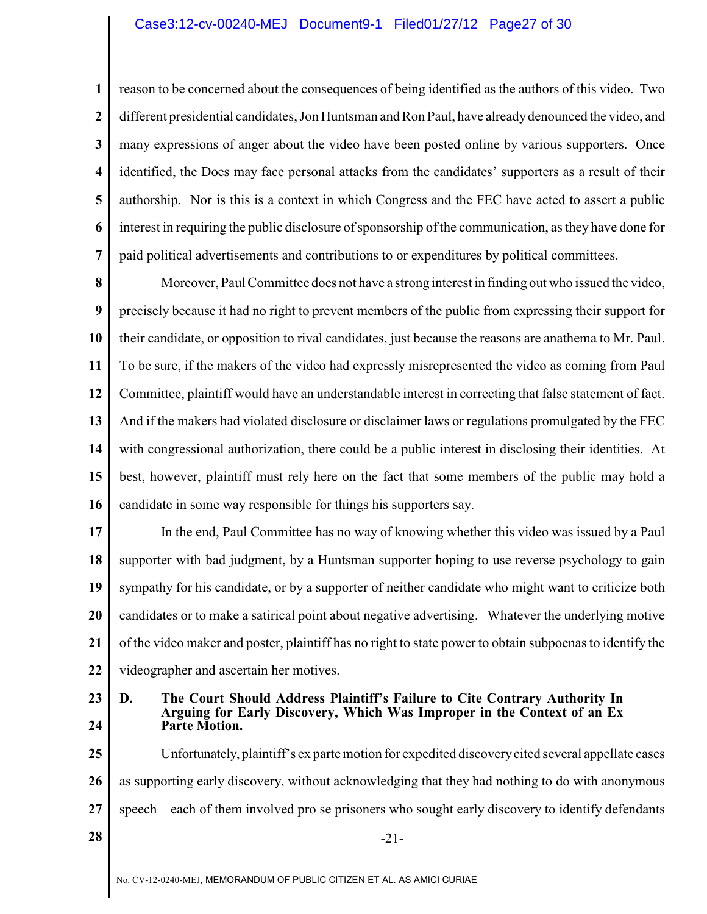## Case3:12-cv-00240-MEJ Document9-1 Filed01/27/12 Page27 of 30

**1 2 3 4 5 6 7** reason to be concerned about the consequences of being identified as the authors of this video. Two different presidential candidates, Jon Huntsman and Ron Paul, have already denounced the video, and many expressions of anger about the video have been posted online by various supporters. Once identified, the Does may face personal attacks from the candidates' supporters as a result of their authorship. Nor is this is a context in which Congress and the FEC have acted to assert a public interest in requiring the public disclosure of sponsorship ofthe communication, as they have done for paid political advertisements and contributions to or expenditures by political committees.

**8 9 10 11 12 13 14 15 16** Moreover, Paul Committee does not have a strong interest in finding out who issued the video, precisely because it had no right to prevent members of the public from expressing their support for their candidate, or opposition to rival candidates, just because the reasons are anathema to Mr. Paul. To be sure, if the makers of the video had expressly misrepresented the video as coming from Paul Committee, plaintiff would have an understandable interest in correcting that false statement of fact. And if the makers had violated disclosure or disclaimer laws or regulations promulgated by the FEC with congressional authorization, there could be a public interest in disclosing their identities. At best, however, plaintiff must rely here on the fact that some members of the public may hold a candidate in some way responsible for things his supporters say.

**17 18 19 20 21 22** In the end, Paul Committee has no way of knowing whether this video was issued by a Paul supporter with bad judgment, by a Huntsman supporter hoping to use reverse psychology to gain sympathy for his candidate, or by a supporter of neither candidate who might want to criticize both candidates or to make a satirical point about negative advertising. Whatever the underlying motive of the video maker and poster, plaintiff has no right to state power to obtain subpoenas to identify the videographer and ascertain her motives.

**23 24**

#### **D. The Court Should Address Plaintiff's Failure to Cite Contrary Authority In Arguing for Early Discovery, Which Was Improper in the Context of an Ex Parte Motion.**

**25 26 27 28**  $\parallel$  -21-Unfortunately, plaintiff's ex parte motion for expedited discovery cited several appellate cases as supporting early discovery, without acknowledging that they had nothing to do with anonymous speech—each of them involved pro se prisoners who sought early discovery to identify defendants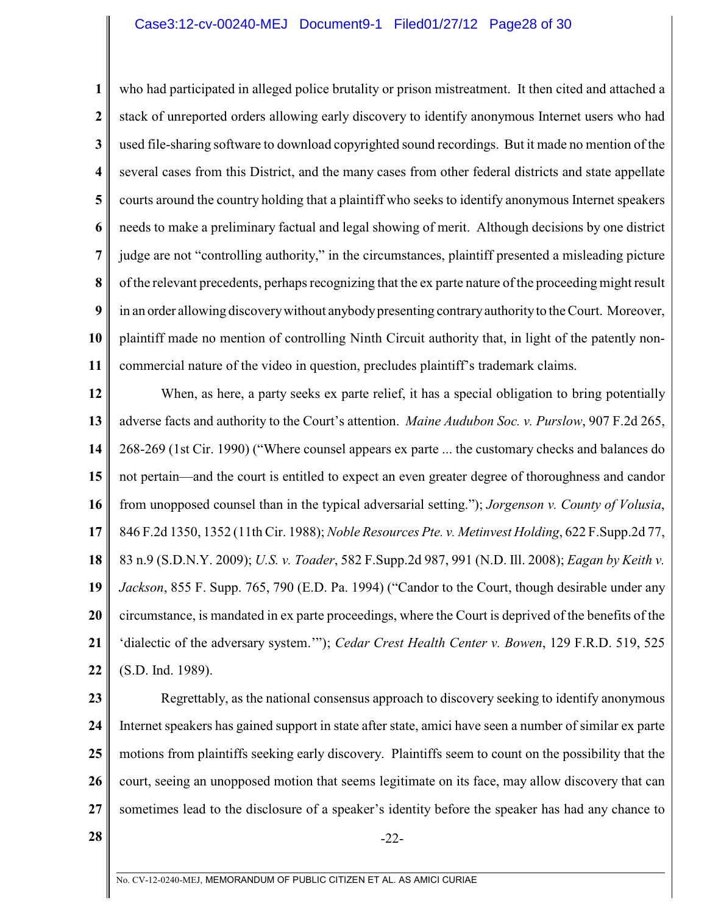**1 2 3 4 5 6 7 8 9 10 11** who had participated in alleged police brutality or prison mistreatment. It then cited and attached a stack of unreported orders allowing early discovery to identify anonymous Internet users who had used file-sharing software to download copyrighted sound recordings. But it made no mention of the several cases from this District, and the many cases from other federal districts and state appellate courts around the country holding that a plaintiff who seeks to identify anonymous Internet speakers needs to make a preliminary factual and legal showing of merit. Although decisions by one district judge are not "controlling authority," in the circumstances, plaintiff presented a misleading picture of the relevant precedents, perhaps recognizing that the ex parte nature of the proceeding might result in an order allowing discovery without anybody presenting contrary authority to the Court. Moreover, plaintiff made no mention of controlling Ninth Circuit authority that, in light of the patently noncommercial nature of the video in question, precludes plaintiff's trademark claims.

**12 13 14 15 16 17 18 19 20 21 22** When, as here, a party seeks ex parte relief, it has a special obligation to bring potentially adverse facts and authority to the Court's attention. *Maine Audubon Soc. v. Purslow*, 907 F.2d 265, 268-269 (1st Cir. 1990) ("Where counsel appears ex parte ... the customary checks and balances do not pertain—and the court is entitled to expect an even greater degree of thoroughness and candor from unopposed counsel than in the typical adversarial setting."); *Jorgenson v. County of Volusia*, 846 F.2d 1350, 1352 (11th Cir. 1988); *Noble Resources Pte. v. Metinvest Holding*, 622 F.Supp.2d 77, 83 n.9 (S.D.N.Y. 2009); *U.S. v. Toader*, 582 F.Supp.2d 987, 991 (N.D. Ill. 2008); *Eagan by Keith v. Jackson*, 855 F. Supp. 765, 790 (E.D. Pa. 1994) ("Candor to the Court, though desirable under any circumstance, is mandated in ex parte proceedings, where the Court is deprived of the benefits of the 'dialectic of the adversary system.'"); *Cedar Crest Health Center v. Bowen*, 129 F.R.D. 519, 525 (S.D. Ind. 1989).

**23**

**24 25 26 27** Regrettably, as the national consensus approach to discovery seeking to identify anonymous Internet speakers has gained support in state after state, amici have seen a number of similar ex parte motions from plaintiffs seeking early discovery. Plaintiffs seem to count on the possibility that the court, seeing an unopposed motion that seems legitimate on its face, may allow discovery that can sometimes lead to the disclosure of a speaker's identity before the speaker has had any chance to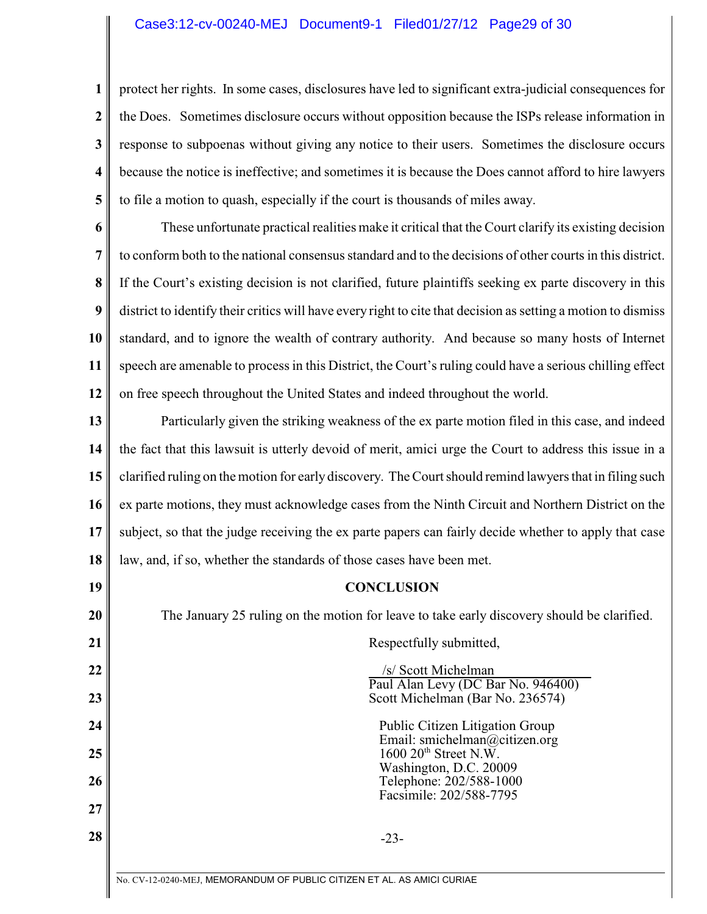### Case3:12-cv-00240-MEJ Document9-1 Filed01/27/12 Page29 of 30

**1 2 3 4 5** protect her rights. In some cases, disclosures have led to significant extra-judicial consequences for the Does. Sometimes disclosure occurs without opposition because the ISPs release information in response to subpoenas without giving any notice to their users. Sometimes the disclosure occurs because the notice is ineffective; and sometimes it is because the Does cannot afford to hire lawyers to file a motion to quash, especially if the court is thousands of miles away.

**6 7 8 9 10 11 12** These unfortunate practical realities make it critical that the Court clarify its existing decision to conform both to the national consensus standard and to the decisions of other courts in this district. If the Court's existing decision is not clarified, future plaintiffs seeking ex parte discovery in this district to identify their critics will have every right to cite that decision as setting a motion to dismiss standard, and to ignore the wealth of contrary authority. And because so many hosts of Internet speech are amenable to process in this District, the Court's ruling could have a serious chilling effect on free speech throughout the United States and indeed throughout the world.

**13 14 15 16 17 18** Particularly given the striking weakness of the ex parte motion filed in this case, and indeed the fact that this lawsuit is utterly devoid of merit, amici urge the Court to address this issue in a clarified ruling on the motion for early discovery. The Court should remind lawyers that in filing such ex parte motions, they must acknowledge cases from the Ninth Circuit and Northern District on the subject, so that the judge receiving the ex parte papers can fairly decide whether to apply that case law, and, if so, whether the standards of those cases have been met.

### **CONCLUSION**

The January 25 ruling on the motion for leave to take early discovery should be clarified.

Respectfully submitted,

 /s/ Scott Michelman Paul Alan Levy (DC Bar No. 946400) Scott Michelman (Bar No. 236574)

 Public Citizen Litigation Group Email: smichelman@citizen.org  $1600 20<sup>th</sup>$  Street N.W. Washington, D.C. 20009 Telephone: 202/588-1000 Facsimile: 202/588-7795

**28**  $\blacksquare$ 

**19**

**20**

**21**

**22**

**23**

**24**

**25**

**26**